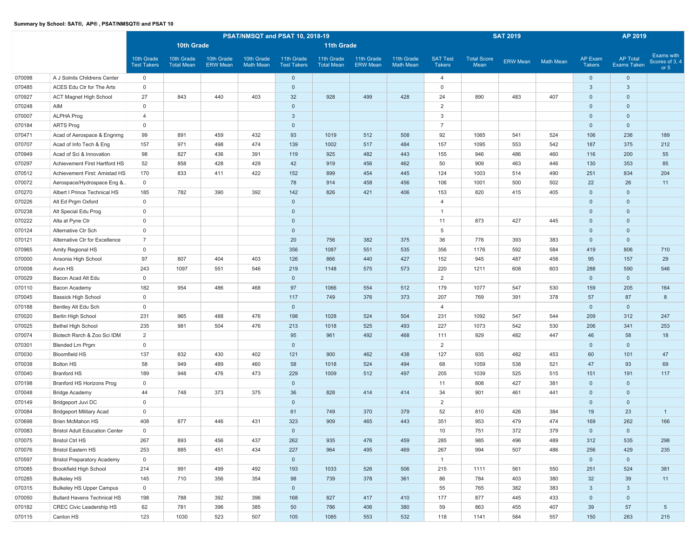|        |                                       |                                  |                                 |                               |                                | PSAT/NMSQT and PSAT 10, 2018-19  |                                 |                               |                                |                                  |                            | <b>SAT 2019</b> |                  |                                 | AP 2019                               |                                        |
|--------|---------------------------------------|----------------------------------|---------------------------------|-------------------------------|--------------------------------|----------------------------------|---------------------------------|-------------------------------|--------------------------------|----------------------------------|----------------------------|-----------------|------------------|---------------------------------|---------------------------------------|----------------------------------------|
|        |                                       |                                  | 10th Grade                      |                               |                                |                                  | 11th Grade                      |                               |                                |                                  |                            |                 |                  |                                 |                                       |                                        |
|        |                                       | 10th Grade<br><b>Test Takers</b> | 10th Grade<br><b>Total Mean</b> | 10th Grade<br><b>ERW Mean</b> | 10th Grade<br><b>Math Mean</b> | 11th Grade<br><b>Test Takers</b> | 11th Grade<br><b>Total Mean</b> | 11th Grade<br><b>ERW Mean</b> | 11th Grade<br><b>Math Mean</b> | <b>SAT Test</b><br><b>Takers</b> | <b>Total Score</b><br>Mean | ERW Mean        | <b>Math Mean</b> | <b>AP Exam</b><br><b>Takers</b> | <b>AP Total</b><br><b>Exams Taken</b> | Exams with<br>Scores of 3, 4<br>or $5$ |
| 070098 | A J Solnits Childrens Center          | $\mathbf 0$                      |                                 |                               |                                | $\mathbf{0}$                     |                                 |                               |                                | 4                                |                            |                 |                  | $\overline{0}$                  | $\mathbf{0}$                          |                                        |
| 070485 | ACES Edu Ctr for The Arts             | $\mathbf{0}$                     |                                 |                               |                                | $\mathbf 0$                      |                                 |                               |                                | $\mathbf 0$                      |                            |                 |                  | $\mathbf{3}$                    | $\mathbf{3}$                          |                                        |
| 070927 | <b>ACT Magnet High School</b>         | 27                               | 843                             | 440                           | 403                            | 32                               | 928                             | 499                           | 428                            | 24                               | 890                        | 483             | 407              | $\overline{0}$                  | $\mathbf 0$                           |                                        |
| 070248 | AIM                                   | $\mathsf 0$                      |                                 |                               |                                | $\mathbf 0$                      |                                 |                               |                                | 2                                |                            |                 |                  | $\mathbf 0$                     | $\mathbf 0$                           |                                        |
| 070007 | <b>ALPHA Prog</b>                     | $\overline{4}$                   |                                 |                               |                                | $\mathbf{3}$                     |                                 |                               |                                | 3                                |                            |                 |                  | $\mathbf 0$                     | $\mathbf 0$                           |                                        |
| 070184 | <b>ARTS Prog</b>                      | $\mathbf 0$                      |                                 |                               |                                | $\mathbf 0$                      |                                 |                               |                                | $\overline{7}$                   |                            |                 |                  | $\mathbf 0$                     | $\mathbf 0$                           |                                        |
| 070471 | Acad of Aerospace & Engnrng           | 99                               | 891                             | 459                           | 432                            | 93                               | 1019                            | 512                           | 508                            | 92                               | 1065                       | 541             | 524              | 106                             | 236                                   | 189                                    |
| 070707 | Acad of Info Tech & Eng               | 157                              | 971                             | 498                           | 474                            | 139                              | 1002                            | 517                           | 484                            | 157                              | 1095                       | 553             | 542              | 187                             | 375                                   | 212                                    |
| 070949 | Acad of Sci & Innovation              | 98                               | 827                             | 436                           | 391                            | 119                              | 925                             | 482                           | 443                            | 155                              | 946                        | 486             | 460              | 116                             | 200                                   | 55                                     |
| 070297 | Achievement First Hartford HS         | 52                               | 858                             | 428                           | 429                            | 42                               | 919                             | 456                           | 462                            | 50                               | 909                        | 463             | 446              | 130                             | 353                                   | 85                                     |
| 070512 | Achievement First: Amistad HS         | 170                              | 833                             | 411                           | 422                            | 152                              | 899                             | 454                           | 445                            | 124                              | 1003                       | 514             | 490              | 251                             | 834                                   | 204                                    |
| 070072 | Aerospace/Hydrospace Eng &            | $\mathsf{O}$                     |                                 |                               |                                | 78                               | 914                             | 458                           | 456                            | 106                              | 1001                       | 500             | 502              | 22                              | 26                                    | 11                                     |
| 070270 | Albert I Prince Technical HS          | 185                              | 782                             | 390                           | 392                            | 142                              | 826                             | 421                           | 406                            | 153                              | 820                        | 415             | 405              | $\mathbf 0$                     | $\mathbf 0$                           |                                        |
| 070226 | Alt Ed Prgm Oxford                    | $\mathsf{O}$                     |                                 |                               |                                | $\mathbf{0}$                     |                                 |                               |                                | $\overline{4}$                   |                            |                 |                  | $\mathbf 0$                     | $\mathbf 0$                           |                                        |
| 070238 | Alt Special Edu Prog                  | $\mathbf 0$                      |                                 |                               |                                | $\mathbf{0}$                     |                                 |                               |                                | $\overline{1}$                   |                            |                 |                  | $\mathbf 0$                     | $\mathbf 0$                           |                                        |
| 070222 | Alta at Pyne Ctr                      | $\mathbf 0$                      |                                 |                               |                                | $\mathbf{0}$                     |                                 |                               |                                | 11                               | 873                        | 427             | 445              | $\mathbf 0$                     | $\mathbf 0$                           |                                        |
| 070124 | Alternative Ctr Sch                   | $\mathbf 0$                      |                                 |                               |                                | $\mathbf 0$                      |                                 |                               |                                | 5                                |                            |                 |                  | $\mathbf 0$                     | $\mathbf 0$                           |                                        |
| 070121 | Alternative Ctr for Excellence        | $\overline{7}$                   |                                 |                               |                                | 20                               | 756                             | 382                           | 375                            | 36                               | 776                        | 393             | 383              | $\mathbf 0$                     | $\mathbf 0$                           |                                        |
| 070965 | Amity Regional HS                     | $\mathbf 0$                      |                                 |                               |                                | 356                              | 1087                            | 551                           | 535                            | 356                              | 1176                       | 592             | 584              | 419                             | 806                                   | 710                                    |
| 070000 | Ansonia High School                   | 97                               | 807                             | 404                           | 403                            | 126                              | 866                             | 440                           | 427                            | 152                              | 945                        | 487             | 458              | 95                              | 157                                   | 29                                     |
| 070008 | Avon HS                               | 243                              | 1097                            | 551                           | 546                            | 219                              | 1148                            | 575                           | 573                            | 220                              | 1211                       | 608             | 603              | 288                             | 590                                   | 546                                    |
| 070029 | Bacon Acad Alt Edu                    | $\mathbf 0$                      |                                 |                               |                                | $\mathbf 0$                      |                                 |                               |                                | 2                                |                            |                 |                  | $\mathbf 0$                     | $\mathbf 0$                           |                                        |
| 070110 | Bacon Academy                         | 182                              | 954                             | 486                           | 468                            | 97                               | 1066                            | 554                           | 512                            | 179                              | 1077                       | 547             | 530              | 159                             | 205                                   | 164                                    |
| 070045 | <b>Bassick High School</b>            | $\mathbf 0$                      |                                 |                               |                                | 117                              | 749                             | 376                           | 373                            | 207                              | 769                        | 391             | 378              | 57                              | 87                                    | 8                                      |
| 070188 | Bentley Alt Edu Sch                   | $\mathbf 0$                      |                                 |                               |                                | $\mathbf 0$                      |                                 |                               |                                | $\overline{4}$                   |                            |                 |                  | $\overline{0}$                  | $\mathbf 0$                           |                                        |
| 070020 | Berlin High School                    | 231                              | 965                             | 488                           | 476                            | 198                              | 1028                            | 524                           | 504                            | 231                              | 1092                       | 547             | 544              | 209                             | 312                                   | 247                                    |
| 070025 | <b>Bethel High School</b>             | 235                              | 981                             | 504                           | 476                            | 213                              | 1018                            | 525                           | 493                            | 227                              | 1073                       | 542             | 530              | 206                             | 341                                   | 253                                    |
| 070074 | Biotech Rsrch & Zoo Sci IDM           | $\overline{2}$                   |                                 |                               |                                | 95                               | 961                             | 492                           | 468                            | 111                              | 929                        | 482             | 447              | 46                              | 58                                    | 18                                     |
| 070301 | <b>Blended Lrn Prgm</b>               | $\mathbf 0$                      |                                 |                               |                                | $\mathbf{0}$                     |                                 |                               |                                | 2                                |                            |                 |                  | $\mathbf 0$                     | $\mathbf 0$                           |                                        |
| 070030 | <b>Bloomfield HS</b>                  | 137                              | 832                             | 430                           | 402                            | 121                              | 900                             | 462                           | 438                            | 127                              | 935                        | 482             | 453              | 60                              | 101                                   | 47                                     |
| 070038 | <b>Bolton HS</b>                      | 58                               | 949                             | 489                           | 460                            | 58                               | 1018                            | 524                           | 494                            | 68                               | 1059                       | 538             | 521              | 47                              | 93                                    | 69                                     |
| 070040 | <b>Branford HS</b>                    | 189                              | 948                             | 476                           | 473                            | 229                              | 1009                            | 512                           | 497                            | 205                              | 1039                       | 525             | 515              | 151                             | 191                                   | 117                                    |
| 070198 | Branford HS Horizons Prog             | $\mathbf 0$                      |                                 |                               |                                | $\mathbf{0}$                     |                                 |                               |                                | 11                               | 808                        | 427             | 381              | $\overline{0}$                  | $\mathbf{0}$                          |                                        |
| 070048 | <b>Bridge Academy</b>                 | 44                               | 748                             | 373                           | 375                            | 36                               | 828                             | 414                           | 414                            | 34                               | 901                        | 461             | 441              | $\overline{0}$                  | $\mathbf 0$                           |                                        |
| 070149 | Bridgeport Juvi DC                    | $\mathsf{O}$                     |                                 |                               |                                | $\mathbf{0}$                     |                                 |                               |                                | 2                                |                            |                 |                  | $\mathbf{0}$                    | $\mathbf 0$                           |                                        |
| 070084 | <b>Bridgeport Military Acad</b>       | $\mathbf 0$                      |                                 |                               |                                | 61                               | 749                             | 370                           | 379                            | 52                               | 810                        | 426             | 384              | 19                              | 23                                    | $\overline{1}$                         |
| 070698 | Brien McMahon HS                      | 408                              | 877                             | 446                           | 431                            | 323                              | 909                             | 465                           | 443                            | 351                              | 953                        | 479             | 474              | 169                             | 262                                   | 166                                    |
| 070083 | <b>Bristol Adult Education Center</b> | $\mathbf 0$                      |                                 |                               |                                | $\mathbf{0}$                     |                                 |                               |                                | 10                               | 751                        | 372             | 379              | $\overline{0}$                  | $\mathbf{0}$                          |                                        |
| 070075 | <b>Bristol Ctrl HS</b>                | 267                              | 893                             | 456                           | 437                            | 262                              | 935                             | 476                           | 459                            | 285                              | 985                        | 496             | 489              | 312                             | 535                                   | 298                                    |
| 070076 | <b>Bristol Eastern HS</b>             | 253                              | 885                             | 451                           | 434                            | 227                              | 964                             | 495                           | 469                            | 267                              | 994                        | 507             | 486              | 256                             | 429                                   | 235                                    |
| 070597 | <b>Bristol Preparatory Academy</b>    | $\mathbf 0$                      |                                 |                               |                                | $\mathbf{0}$                     |                                 |                               |                                | $\mathbf{1}$                     |                            |                 |                  | $\overline{0}$                  | $\mathbf{0}$                          |                                        |
| 070085 | Brookfield High School                | 214                              | 991                             | 499                           | 492                            | 193                              | 1033                            | 526                           | 506                            | 215                              | 1111                       | 561             | 550              | 251                             | 524                                   | 381                                    |
| 070285 | <b>Bulkeley HS</b>                    | 145                              | 710                             | 356                           | 354                            | 98                               | 739                             | 378                           | 361                            | 86                               | 784                        | 403             | 380              | 32                              | 39                                    | 11                                     |
| 070315 | <b>Bulkeley HS Upper Campus</b>       | $\overline{0}$                   |                                 |                               |                                | $\mathbf{0}$                     |                                 |                               |                                | 55                               | 765                        | 382             | 383              | $\mathbf{3}$                    | $\mathbf{3}$                          |                                        |
| 070050 | <b>Bullard Havens Technical HS</b>    | 198<br>62                        | 788                             | 392                           | 396                            | 168                              | 827                             | 417                           | 410                            | 177                              | 877                        | 445             | 433              | $\mathbf 0$                     | $\mathsf{O}\xspace$                   |                                        |
| 070182 | CREC Civic Leadership HS              | 123                              | 781                             | 396<br>523                    | 385                            | 50                               | 786                             | 406                           | 380                            | 59                               | 863                        | 455             | 407              | 39                              | 57                                    | $5\phantom{.0}$                        |
| 070115 | Canton HS                             |                                  | 1030                            |                               | 507                            | 105                              | 1085                            | 553                           | 532                            | 118                              | 1141                       | 584             | 557              | 150                             | 263                                   | 215                                    |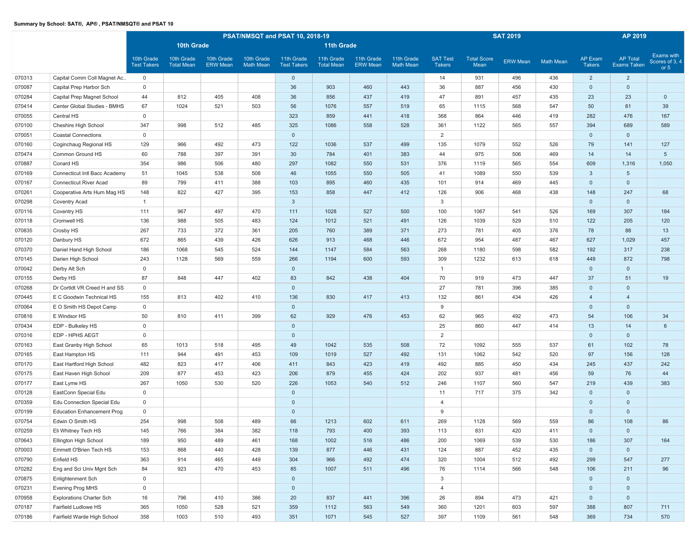|        |                                   | PSAT/NMSQT and PSAT 10, 2018-19<br><b>10th Grade</b><br>10th Grade<br>10th Grade<br>10th Grade<br>10th Grade<br>11th Grade<br><b>Test Takers</b><br><b>Total Mean</b><br><b>ERW</b> Mean<br><b>Math Mean</b><br><b>Test Takers</b> |      |     |     |              |                                 |                               |                                |                                  |                            | <b>SAT 2019</b> |                  |                          | AP 2019                               |                                        |
|--------|-----------------------------------|------------------------------------------------------------------------------------------------------------------------------------------------------------------------------------------------------------------------------------|------|-----|-----|--------------|---------------------------------|-------------------------------|--------------------------------|----------------------------------|----------------------------|-----------------|------------------|--------------------------|---------------------------------------|----------------------------------------|
|        |                                   |                                                                                                                                                                                                                                    |      |     |     |              | <b>11th Grade</b>               |                               |                                |                                  |                            |                 |                  |                          |                                       |                                        |
|        |                                   |                                                                                                                                                                                                                                    |      |     |     |              | 11th Grade<br><b>Total Mean</b> | 11th Grade<br><b>ERW Mean</b> | 11th Grade<br><b>Math Mean</b> | <b>SAT Test</b><br><b>Takers</b> | <b>Total Score</b><br>Mean | <b>ERW Mean</b> | <b>Math Mean</b> | AP Exam<br><b>Takers</b> | <b>AP Total</b><br><b>Exams Taken</b> | Exams with<br>Scores of 3, 4<br>or $5$ |
| 070313 | Capital Comm Coll Magnet Ac       | $\mathbf 0$                                                                                                                                                                                                                        |      |     |     | $\mathbf 0$  |                                 |                               |                                | 14                               | 931                        | 496             | 436              | $\overline{2}$           | $\overline{2}$                        |                                        |
| 070087 | Capital Prep Harbor Sch           | $\mathsf{O}$                                                                                                                                                                                                                       |      |     |     | 36           | 903                             | 460                           | 443                            | 36                               | 887                        | 456             | 430              | $\mathbf 0$              | $\mathbb O$                           |                                        |
| 070284 | Capital Prep Magnet School        | 44                                                                                                                                                                                                                                 | 812  | 405 | 408 | 36           | 856                             | 437                           | 419                            | 47                               | 891                        | 457             | 435              | 23                       | 23                                    | $\overline{0}$                         |
| 070414 | Center Global Studies - BMHS      | 67                                                                                                                                                                                                                                 | 1024 | 521 | 503 | 56           | 1076                            | 557                           | 519                            | 65                               | 1115                       | 568             | 547              | 50                       | 61                                    | 39                                     |
| 070055 | Central HS                        | $\mathbf 0$                                                                                                                                                                                                                        |      |     |     | 323          | 859                             | 441                           | 418                            | 368                              | 864                        | 446             | 419              | 282                      | 476                                   | 167                                    |
| 070100 | Cheshire High School              | 347                                                                                                                                                                                                                                | 998  | 512 | 485 | 325          | 1086                            | 558                           | 528                            | 361                              | 1122                       | 565             | 557              | 394                      | 689                                   | 589                                    |
| 070051 | <b>Coastal Connections</b>        | $\mathsf{O}$                                                                                                                                                                                                                       |      |     |     | $\mathbf 0$  |                                 |                               |                                | $\overline{2}$                   |                            |                 |                  | $\overline{0}$           | $\mathbf 0$                           |                                        |
| 070160 | Coginchaug Regional HS            | 129                                                                                                                                                                                                                                | 966  | 492 | 473 | 122          | 1036                            | 537                           | 499                            | 135                              | 1079                       | 552             | 526              | 79                       | 141                                   | 127                                    |
| 070474 | Common Ground HS                  | 60                                                                                                                                                                                                                                 | 788  | 397 | 391 | 30           | 784                             | 401                           | 383                            | 44                               | 975                        | 506             | 469              | 14                       | 14                                    | $5\overline{5}$                        |
| 070887 | Conard HS                         | 354                                                                                                                                                                                                                                | 986  | 506 | 480 | 297          | 1082                            | 550                           | 531                            | 376                              | 1119                       | 565             | 554              | 609                      | 1,316                                 | 1,050                                  |
| 070169 | Connecticut Intl Bacc Academy     | 51                                                                                                                                                                                                                                 | 1045 | 538 | 508 | 46           | 1055                            | 550                           | 505                            | 41                               | 1089                       | 550             | 539              | $\mathbf{3}$             | $5\phantom{.0}$                       |                                        |
| 070167 | <b>Connecticut River Acad</b>     | 89                                                                                                                                                                                                                                 | 799  | 411 | 388 | 103          | 895                             | 460                           | 435                            | 101                              | 914                        | 469             | 445              | $\mathbf 0$              | $\mathbf 0$                           |                                        |
| 070261 | Cooperative Arts Hum Mag HS       | 148                                                                                                                                                                                                                                | 822  | 427 | 395 | 153          | 858                             | 447                           | 412                            | 126                              | 906                        | 468             | 438              | 148                      | 247                                   | 68                                     |
| 070298 | Coventry Acad                     | $\mathbf{1}$                                                                                                                                                                                                                       |      |     |     | $\mathbf{3}$ |                                 |                               |                                | 3                                |                            |                 |                  | $\overline{0}$           | $\mathbf 0$                           |                                        |
| 070116 | Coventry HS                       | 111                                                                                                                                                                                                                                | 967  | 497 | 470 | 111          | 1028                            | 527                           | 500                            | 100                              | 1067                       | 541             | 526              | 169                      | 307                                   | 184                                    |
| 070118 | Cromwell HS                       | 136                                                                                                                                                                                                                                | 988  | 505 | 483 | 124          | 1012                            | 521                           | 491                            | 126                              | 1039                       | 529             | 510              | 122                      | 205                                   | 120                                    |
| 070835 | Crosby HS                         | 267                                                                                                                                                                                                                                | 733  | 372 | 361 | 205          | 760                             | 389                           | 371                            | 273                              | 781                        | 405             | 376              | 78                       | 88                                    | 13                                     |
| 070120 | Danbury HS                        | 672                                                                                                                                                                                                                                | 865  | 439 | 426 | 626          | 913                             | 468                           | 446                            | 672                              | 954                        | 487             | 467              | 627                      | 1,029                                 | 457                                    |
| 070370 | Daniel Hand High School           | 186                                                                                                                                                                                                                                | 1068 | 545 | 524 | 144          | 1147                            | 584                           | 563                            | 268                              | 1180                       | 598             | 582              | 192                      | 317                                   | 238                                    |
| 070145 | Darien High School                | 243                                                                                                                                                                                                                                | 1128 | 569 | 559 | 266          | 1194                            | 600                           | 593                            | 309                              | 1232                       | 613             | 618              | 449                      | 872                                   | 798                                    |
| 070042 | Derby Alt Sch                     | $\mathbf 0$                                                                                                                                                                                                                        |      |     |     | $\mathbf{0}$ |                                 |                               |                                | $\mathbf{1}$                     |                            |                 |                  | $\overline{0}$           | $\mathbf{0}$                          |                                        |
| 070155 | Derby HS                          | 87                                                                                                                                                                                                                                 | 848  | 447 | 402 | 83           | 842                             | 438                           | 404                            | 70                               | 919                        | 473             | 447              | 37                       | 51                                    | 19                                     |
| 070268 | Dr Cortldt VR Creed H and SS      | $\mathsf{O}$                                                                                                                                                                                                                       |      |     |     | $\mathbf 0$  |                                 |                               |                                | 27                               | 781                        | 396             | 385              | $\overline{0}$           | $\mathbf 0$                           |                                        |
| 070445 | E C Goodwin Technical HS          | 155                                                                                                                                                                                                                                | 813  | 402 | 410 | 136          | 830                             | 417                           | 413                            | 132                              | 861                        | 434             | 426              | $\overline{4}$           | $\overline{4}$                        |                                        |
| 070064 | E O Smith HS Depot Camp           | $\mathsf{O}$                                                                                                                                                                                                                       |      |     |     | $\mathbf{0}$ |                                 |                               |                                | 9                                |                            |                 |                  | $\overline{0}$           | $\mathbf 0$                           |                                        |
| 070816 | E Windsor HS                      | 50                                                                                                                                                                                                                                 | 810  | 411 | 399 | 62           | 929                             | 476                           | 453                            | 62                               | 965                        | 492             | 473              | 54                       | 106                                   | 34                                     |
| 070434 | EDP - Bulkeley HS                 | $\mathbf 0$                                                                                                                                                                                                                        |      |     |     | $\mathbf 0$  |                                 |                               |                                | 25                               | 860                        | 447             | 414              | 13                       | 14                                    | 6                                      |
| 070316 | EDP - HPHS AEGT                   | $\mathsf{O}$                                                                                                                                                                                                                       |      |     |     | $\mathbf 0$  |                                 |                               |                                | 2                                |                            |                 |                  | $\overline{0}$           | $\mathbf 0$                           |                                        |
| 070163 | East Granby High School           | 65                                                                                                                                                                                                                                 | 1013 | 518 | 495 | 49           | 1042                            | 535                           | 508                            | 72                               | 1092                       | 555             | 537              | 61                       | 102                                   | 78                                     |
| 070165 | East Hampton HS                   | 111                                                                                                                                                                                                                                | 944  | 491 | 453 | 109          | 1019                            | 527                           | 492                            | 131                              | 1062                       | 542             | 520              | 97                       | 156                                   | 128                                    |
| 070170 | East Hartford High School         | 482                                                                                                                                                                                                                                | 823  | 417 | 406 | 411          | 843                             | 423                           | 419                            | 492                              | 885                        | 450             | 434              | 245                      | 437                                   | 242                                    |
| 070175 | East Haven High School            | 209                                                                                                                                                                                                                                | 877  | 453 | 423 | 206          | 879                             | 455                           | 424                            | 202                              | 937                        | 481             | 456              | 59                       | 76                                    | 44                                     |
| 070177 | East Lyme HS                      | 267                                                                                                                                                                                                                                | 1050 | 530 | 520 | 226          | 1053                            | 540                           | 512                            | 246                              | 1107                       | 560             | 547              | 219                      | 439                                   | 383                                    |
| 070128 | EastConn Special Edu              | $\mathbf 0$                                                                                                                                                                                                                        |      |     |     | $\mathbf 0$  |                                 |                               |                                | 11                               | 717                        | 375             | 342              | $\overline{0}$           | $\mathbf 0$                           |                                        |
| 070359 | Edu Connection Special Edu        | $\mathbf 0$                                                                                                                                                                                                                        |      |     |     | $\mathbf{0}$ |                                 |                               |                                | $\overline{4}$                   |                            |                 |                  | $\overline{0}$           | $\mathbf{0}$                          |                                        |
| 070199 | <b>Education Enhancement Prog</b> | $\mathbf 0$                                                                                                                                                                                                                        |      |     |     | $\mathbf{0}$ |                                 |                               |                                | 9                                |                            |                 |                  | $\mathbf 0$              | $\mathbf{0}$                          |                                        |
| 070754 | Edwin O Smith HS                  | 254                                                                                                                                                                                                                                | 998  | 508 | 489 | 66           | 1213                            | 602                           | 611                            | 269                              | 1128                       | 569             | 559              | 86                       | 108                                   | 86                                     |
| 070259 | Eli Whitney Tech HS               | 145                                                                                                                                                                                                                                | 766  | 384 | 382 | 118          | 793                             | 400                           | 393                            | 113                              | 831                        | 420             | 411              | $\overline{0}$           | $\mathbf 0$                           |                                        |
| 070643 | Ellington High School             | 189                                                                                                                                                                                                                                | 950  | 489 | 461 | 168          | 1002                            | 516                           | 486                            | 200                              | 1069                       | 539             | 530              | 186                      | 307                                   | 164                                    |
| 070003 | Emmett O'Brien Tech HS            | 153                                                                                                                                                                                                                                | 868  | 440 | 428 | 139          | 877                             | 446                           | 431                            | 124                              | 887                        | 452             | 435              | $\mathbf{0}$             | $\mathbf{0}$                          |                                        |
| 070790 | Enfield HS                        | 363                                                                                                                                                                                                                                | 914  | 465 | 449 | 304          | 966                             | 492                           | 474                            | 320                              | 1004                       | 512             | 492              | 299                      | 547                                   | 277                                    |
| 070282 | Eng and Sci Univ Mgnt Sch         | 84                                                                                                                                                                                                                                 | 923  | 470 | 453 | 85           | 1007                            | 511                           | 496                            | 76                               | 1114                       | 566             | 548              | 106                      | 211                                   | 96                                     |
| 070875 | Enlightenment Sch                 | $\mathsf{O}$                                                                                                                                                                                                                       |      |     |     | $\mathbf 0$  |                                 |                               |                                | 3                                |                            |                 |                  | $\mathbf{0}$             | $\mathbf{0}$                          |                                        |
| 070231 | Evening Prog MHS                  | $\mathbf 0$                                                                                                                                                                                                                        |      |     |     | $\mathbf 0$  |                                 |                               |                                | $\overline{4}$                   |                            |                 |                  | $\mathbf{0}$             | $\mathbf{0}$                          |                                        |
| 070958 | <b>Explorations Charter Sch</b>   | 16                                                                                                                                                                                                                                 | 796  | 410 | 386 | 20           | 837                             | 441                           | 396                            | 26                               | 894                        | 473             | 421              | $\mathbf{0}$             | $\mathbf 0$                           |                                        |
| 070187 | Fairfield Ludlowe HS              | 365                                                                                                                                                                                                                                | 1050 | 528 | 521 | 359          | 1112                            | 563                           | 549                            | 360                              | 1201                       | 603             | 597              | 388                      | 807                                   | 711                                    |
| 070186 | Fairfield Warde High School       | 358                                                                                                                                                                                                                                | 1003 | 510 | 493 | 351          | 1071                            | 545                           | 527                            | 397                              | 1109                       | 561             | 548              | 369                      | 734                                   | 570                                    |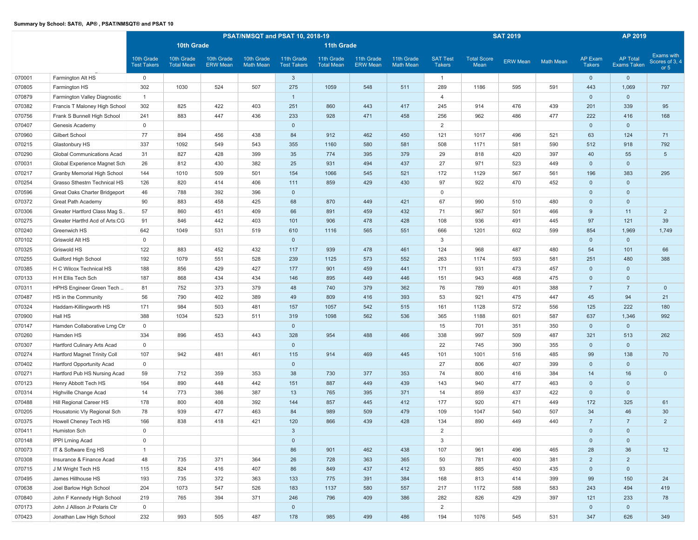|        |                                |                                  |                                 |                               |                                | PSAT/NMSQT and PSAT 10, 2018-19  |                                 |                               |                                |                                  |                            | <b>SAT 2019</b> |                  |                                 | AP 2019                               |                                        |
|--------|--------------------------------|----------------------------------|---------------------------------|-------------------------------|--------------------------------|----------------------------------|---------------------------------|-------------------------------|--------------------------------|----------------------------------|----------------------------|-----------------|------------------|---------------------------------|---------------------------------------|----------------------------------------|
|        |                                |                                  | <b>10th Grade</b>               |                               |                                |                                  | <b>11th Grade</b>               |                               |                                |                                  |                            |                 |                  |                                 |                                       |                                        |
|        |                                | 10th Grade<br><b>Test Takers</b> | 10th Grade<br><b>Total Mean</b> | 10th Grade<br><b>ERW</b> Mean | 10th Grade<br><b>Math Mean</b> | 11th Grade<br><b>Test Takers</b> | 11th Grade<br><b>Total Mean</b> | 11th Grade<br><b>ERW Mean</b> | 11th Grade<br><b>Math Mean</b> | <b>SAT Test</b><br><b>Takers</b> | <b>Total Score</b><br>Mean | ERW Mean        | <b>Math Mean</b> | <b>AP Exam</b><br><b>Takers</b> | <b>AP Total</b><br><b>Exams Taken</b> | Exams with<br>Scores of 3, 4<br>or $5$ |
| 070001 | Farmington Alt HS              | $\mathbf 0$                      |                                 |                               |                                | $\mathbf{3}$                     |                                 |                               |                                | $\overline{1}$                   |                            |                 |                  | $\overline{0}$                  | $\mathbf 0$                           |                                        |
| 070805 | Farmington HS                  | 302                              | 1030                            | 524                           | 507                            | 275                              | 1059                            | 548                           | 511                            | 289                              | 1186                       | 595             | 591              | 443                             | 1,069                                 | 797                                    |
| 070879 | Farmington Valley Diagnostic   | $\overline{1}$                   |                                 |                               |                                | $\mathbf{1}$                     |                                 |                               |                                | $\overline{4}$                   |                            |                 |                  | $\overline{0}$                  | $\mathbf 0$                           |                                        |
| 070382 | Francis T Maloney High School  | 302                              | 825                             | 422                           | 403                            | 251                              | 860                             | 443                           | 417                            | 245                              | 914                        | 476             | 439              | 201                             | 339                                   | 95                                     |
| 070756 | Frank S Bunnell High School    | 241                              | 883                             | 447                           | 436                            | 233                              | 928                             | 471                           | 458                            | 256                              | 962                        | 486             | 477              | 222                             | 416                                   | 168                                    |
| 070407 | Genesis Academy                | $\mathbf{0}$                     |                                 |                               |                                | $\mathbf{0}$                     |                                 |                               |                                | 2                                |                            |                 |                  | $\overline{0}$                  | $\mathbf{0}$                          |                                        |
| 070960 | Gilbert School                 | 77                               | 894                             | 456                           | 438                            | 84                               | 912                             | 462                           | 450                            | 121                              | 1017                       | 496             | 521              | 63                              | 124                                   | 71                                     |
| 070215 | Glastonbury HS                 | 337                              | 1092                            | 549                           | 543                            | 355                              | 1160                            | 580                           | 581                            | 508                              | 1171                       | 581             | 590              | 512                             | 918                                   | 792                                    |
| 070290 | Global Communications Acad     | 31                               | 827                             | 428                           | 399                            | 35                               | 774                             | 395                           | 379                            | 29                               | 818                        | 420             | 397              | 40                              | 55                                    | $5\phantom{.0}$                        |
| 070031 | Global Experience Magnet Sch   | 26                               | 812                             | 430                           | 382                            | 25                               | 931                             | 494                           | 437                            | 27                               | 971                        | 523             | 449              | $\overline{0}$                  | $\mathbf{0}$                          |                                        |
| 070217 | Granby Memorial High School    | 144                              | 1010                            | 509                           | 501                            | 154                              | 1066                            | 545                           | 521                            | 172                              | 1129                       | 567             | 561              | 196                             | 383                                   | 295                                    |
| 070254 | Grasso Sthestrn Technical HS   | 126                              | 820                             | 414                           | 406                            | 111                              | 859                             | 429                           | 430                            | 97                               | 922                        | 470             | 452              | $\overline{0}$                  | $\mathbf 0$                           |                                        |
| 070596 | Great Oaks Charter Bridgeport  | 46                               | 788                             | 392                           | 396                            | $\mathbf 0$                      |                                 |                               |                                | $\mathbf 0$                      |                            |                 |                  | $\overline{0}$                  | $\mathbf 0$                           |                                        |
| 070372 | Great Path Academy             | 90                               | 883                             | 458                           | 425                            | 68                               | 870                             | 449                           | 421                            | 67                               | 990                        | 510             | 480              | $\overline{0}$                  | $\mathbf 0$                           |                                        |
| 070306 | Greater Hartford Class Mag S   | 57                               | 860                             | 451                           | 409                            | 66                               | 891                             | 459                           | 432                            | 71                               | 967                        | 501             | 466              | 9                               | 11                                    | $\overline{2}$                         |
| 070275 | Greater Hartfrd Acd of Arts:CG | 91                               | 846                             | 442                           | 403                            | 101                              | 906                             | 478                           | 428                            | 108                              | 936                        | 491             | 445              | 97                              | 121                                   | 39                                     |
| 070240 | Greenwich HS                   | 642                              | 1049                            | 531                           | 519                            | 610                              | 1116                            | 565                           | 551                            | 666                              | 1201                       | 602             | 599              | 854                             | 1,969                                 | 1,749                                  |
| 070102 | Griswold Alt HS                | $\mathbf 0$                      |                                 |                               |                                | $\mathbf 0$                      |                                 |                               |                                | 3                                |                            |                 |                  | $\overline{0}$                  | $\mathbf{0}$                          |                                        |
| 070325 | Griswold HS                    | 122                              | 883                             | 452                           | 432                            | 117                              | 939                             | 478                           | 461                            | 124                              | 968                        | 487             | 480              | 54                              | 101                                   | 66                                     |
| 070255 | Guilford High School           | 192                              | 1079                            | 551                           | 528                            | 239                              | 1125                            | 573                           | 552                            | 263                              | 1174                       | 593             | 581              | 251                             | 480                                   | 388                                    |
| 070385 | H C Wilcox Technical HS        | 188                              | 856                             | 429                           | 427                            | 177                              | 901                             | 459                           | 441                            | 171                              | 931                        | 473             | 457              | $\overline{0}$                  | $\mathbf 0$                           |                                        |
| 070133 | H H Ellis Tech Sch             | 187                              | 868                             | 434                           | 434                            | 146                              | 895                             | 449                           | 446                            | 151                              | 943                        | 468             | 475              | $\mathbf{0}$                    | $\mathbf 0$                           |                                        |
| 070311 | HPHS Engineer Green Tech       | 81                               | 752                             | 373                           | 379                            | 48                               | 740                             | 379                           | 362                            | 76                               | 789                        | 401             | 388              | $\overline{7}$                  | $\overline{7}$                        | $\overline{0}$                         |
| 070487 | HS in the Community            | 56                               | 790                             | 402                           | 389                            | 49                               | 809                             | 416                           | 393                            | 53                               | 921                        | 475             | 447              | 45                              | 94                                    | 21                                     |
| 070324 | Haddam-Killingworth HS         | 171                              | 984                             | 503                           | 481                            | 157                              | 1057                            | 542                           | 515                            | 161                              | 1128                       | 572             | 556              | 125                             | 222                                   | 180                                    |
| 070900 | Hall HS                        | 388                              | 1034                            | 523                           | 511                            | 319                              | 1098                            | 562                           | 536                            | 365                              | 1188                       | 601             | 587              | 637                             | 1,346                                 | 992                                    |
| 070147 | Hamden Collaborative Lrng Ctr  | $\mathbf 0$                      |                                 |                               |                                | $\mathbf 0$                      |                                 |                               |                                | 15                               | 701                        | 351             | 350              | $\overline{0}$                  | $\mathbf 0$                           |                                        |
| 070260 | Hamden HS                      | 334                              | 896                             | 453                           | 443                            | 328                              | 954                             | 488                           | 466                            | 338                              | 997                        | 509             | 487              | 321                             | 513                                   | 262                                    |
| 070307 | Hartford Culinary Arts Acad    | $\mathbf 0$                      |                                 |                               |                                | $\mathbf 0$                      |                                 |                               |                                | 22                               | 745                        | 390             | 355              | $\overline{0}$                  | $\mathbf{0}$                          |                                        |
| 070274 | Hartford Magnet Trinity Coll   | 107                              | 942                             | 481                           | 461                            | 115                              | 914                             | 469                           | 445                            | 101                              | 1001                       | 516             | 485              | 99                              | 138                                   | 70                                     |
| 070402 | Hartford Opportunity Acad      | $\mathbf 0$                      |                                 |                               |                                | $\mathbf{0}$                     |                                 |                               |                                | 27                               | 806                        | 407             | 399              | $\overline{0}$                  | $\mathbf{0}$                          |                                        |
| 070271 | Hartford Pub HS Nursing Acad   | 59                               | 712                             | 359                           | 353                            | 38                               | 730                             | 377                           | 353                            | 74                               | 800                        | 416             | 384              | 14                              | 16                                    | $\overline{0}$                         |
| 070123 | Henry Abbott Tech HS           | 164                              | 890                             | 448                           | 442                            | 151                              | 887                             | 449                           | 439                            | 143                              | 940                        | 477             | 463              | $\overline{0}$                  | $\mathbf{0}$                          |                                        |
| 070314 | Highville Change Acad          | 14                               | 773                             | 386                           | 387                            | 13                               | 765                             | 395                           | 371                            | 14                               | 859                        | 437             | 422              | $\overline{0}$                  | $\mathbf{0}$                          |                                        |
| 070488 | Hill Regional Career HS        | 178                              | 800                             | 408                           | 392                            | 144                              | 857                             | 445                           | 412                            | 177                              | 920                        | 471             | 449              | 172                             | 325                                   | 61                                     |
| 070205 | Housatonic Vly Regional Sch    | 78                               | 939                             | 477                           | 463                            | 84                               | 989                             | 509                           | 479                            | 109                              | 1047                       | 540             | 507              | 34                              | 46                                    | 30                                     |
| 070375 | Howell Cheney Tech HS          | 166                              | 838                             | 418                           | 421                            | 120                              | 866                             | 439                           | 428                            | 134                              | 890                        | 449             | 440              | $\overline{7}$                  | $\overline{7}$                        | $\overline{2}$                         |
| 070411 | Humiston Sch                   | $\mathbf 0$                      |                                 |                               |                                | $\mathbf{3}$                     |                                 |                               |                                | $\overline{2}$                   |                            |                 |                  | $\overline{0}$                  | $\mathbf 0$                           |                                        |
| 070148 | <b>IPPI Lrning Acad</b>        | $\mathbf 0$                      |                                 |                               |                                | $\mathbf 0$                      |                                 |                               |                                | 3                                |                            |                 |                  | $\mathbf 0$                     | $\mathbf 0$                           |                                        |
| 070073 | IT & Software Eng HS           | $\mathbf{1}$                     |                                 |                               |                                | 86                               | 901                             | 462                           | 438                            | 107                              | 961                        | 496             | 465              | 28                              | 36                                    | 12                                     |
| 070308 | Insurance & Finance Acad       | 48                               | 735                             | 371                           | 364                            | 26                               | 728                             | 363                           | 365                            | 50                               | 781                        | 400             | 381              | 2                               | $\overline{2}$                        |                                        |
| 070715 | J M Wright Tech HS             | 115                              | 824                             | 416                           | 407                            | 86                               | 849                             | 437                           | 412                            | 93                               | 885                        | 450             | 435              | $\mathbf{0}$                    | $\mathbf{0}$                          |                                        |
| 070495 | James Hillhouse HS             | 193                              | 735                             | 372                           | 363                            | 133                              | 775                             | 391                           | 384                            | 168                              | 813                        | 414             | 399              | 99                              | 150                                   | 24                                     |
| 070638 | Joel Barlow High School        | 204                              | 1073                            | 547                           | 526                            | 183                              | 1137                            | 580                           | 557                            | 217                              | 1172                       | 588             | 583              | 243                             | 494                                   | 419                                    |
| 070840 | John F Kennedy High School     | 219                              | 765                             | 394                           | 371                            | 246                              | 796                             | 409                           | 386                            | 282                              | 826                        | 429             | 397              | 121                             | 233                                   | 78                                     |
| 070173 | John J Allison Jr Polaris Ctr  | $\overline{0}$                   |                                 |                               |                                | $\mathbf{0}$                     |                                 |                               |                                | $\overline{2}$                   |                            |                 |                  | $\mathbf{0}$                    | $\mathbf 0$                           |                                        |
| 070423 | Jonathan Law High School       | 232                              | 993                             | 505                           | 487                            | 178                              | 985                             | 499                           | 486                            | 194                              | 1076                       | 545             | 531              | 347                             | 626                                   | 349                                    |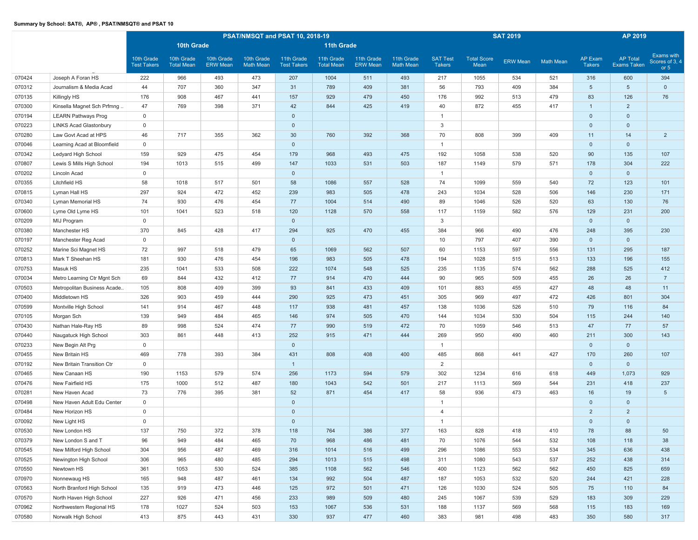|        |                               |                                  |                                 |                               |                                | PSAT/NMSQT and PSAT 10, 2018-19  |                                 |                               |                                |                                  |                            | <b>SAT 2019</b> |                  |                                 | AP 2019                               |                                        |
|--------|-------------------------------|----------------------------------|---------------------------------|-------------------------------|--------------------------------|----------------------------------|---------------------------------|-------------------------------|--------------------------------|----------------------------------|----------------------------|-----------------|------------------|---------------------------------|---------------------------------------|----------------------------------------|
|        |                               |                                  | 10th Grade                      |                               |                                |                                  | <b>11th Grade</b>               |                               |                                |                                  |                            |                 |                  |                                 |                                       |                                        |
|        |                               | 10th Grade<br><b>Test Takers</b> | 10th Grade<br><b>Total Mean</b> | 10th Grade<br><b>ERW</b> Mean | 10th Grade<br><b>Math Mean</b> | 11th Grade<br><b>Test Takers</b> | 11th Grade<br><b>Total Mean</b> | 11th Grade<br><b>ERW Mean</b> | 11th Grade<br><b>Math Mean</b> | <b>SAT Test</b><br><b>Takers</b> | <b>Total Score</b><br>Mean | <b>ERW Mean</b> | <b>Math Mean</b> | <b>AP Exam</b><br><b>Takers</b> | <b>AP Total</b><br><b>Exams Taken</b> | Exams with<br>Scores of 3, 4<br>or $5$ |
| 070424 | Joseph A Foran HS             | 222                              | 966                             | 493                           | 473                            | 207                              | 1004                            | 511                           | 493                            | 217                              | 1055                       | 534             | 521              | 316                             | 600                                   | 394                                    |
| 070312 | Journalism & Media Acad       | 44                               | 707                             | 360                           | 347                            | 31                               | 789                             | 409                           | 381                            | 56                               | 793                        | 409             | 384              | $5\phantom{.0}$                 | $5\phantom{.0}$                       | $\mathbf{0}$                           |
| 070135 | Killingly HS                  | 176                              | 908                             | 467                           | 441                            | 157                              | 929                             | 479                           | 450                            | 176                              | 992                        | 513             | 479              | 83                              | 126                                   | 76                                     |
| 070300 | Kinsella Magnet Sch Prfmng.   | 47                               | 769                             | 398                           | 371                            | 42                               | 844                             | 425                           | 419                            | 40                               | 872                        | 455             | 417              | $\overline{1}$                  | $\overline{2}$                        |                                        |
| 070194 | <b>LEARN Pathways Prog</b>    | $\mathbf{0}$                     |                                 |                               |                                | $\mathbf{0}$                     |                                 |                               |                                | $\overline{1}$                   |                            |                 |                  | $\overline{0}$                  | $\mathbf{0}$                          |                                        |
| 070223 | <b>LINKS Acad Glastonbury</b> | $\mathbf 0$                      |                                 |                               |                                | $\mathbf{0}$                     |                                 |                               |                                | 3                                |                            |                 |                  | $\overline{0}$                  | $\mathbf{0}$                          |                                        |
| 070280 | Law Govt Acad at HPS          | 46                               | 717                             | 355                           | 362                            | 30                               | 760                             | 392                           | 368                            | 70                               | 808                        | 399             | 409              | 11                              | 14                                    | $\overline{2}$                         |
| 070046 | Learning Acad at Bloomfield   | $\mathbf 0$                      |                                 |                               |                                | $\mathbf 0$                      |                                 |                               |                                | $\mathbf{1}$                     |                            |                 |                  | $\overline{0}$                  | $\mathbf 0$                           |                                        |
| 070342 | Ledyard High School           | 159                              | 929                             | 475                           | 454                            | 179                              | 968                             | 493                           | 475                            | 192                              | 1058                       | 538             | 520              | 90                              | 135                                   | 107                                    |
| 070807 | Lewis S Mills High School     | 194                              | 1013                            | 515                           | 499                            | 147                              | 1033                            | 531                           | 503                            | 187                              | 1149                       | 579             | 571              | 178                             | 304                                   | 222                                    |
| 070202 | Lincoln Acad                  | $\mathbf 0$                      |                                 |                               |                                | $\mathbf{0}$                     |                                 |                               |                                | $\mathbf{1}$                     |                            |                 |                  | $\overline{0}$                  | $\mathbf{0}$                          |                                        |
| 070355 | Litchfield HS                 | 58                               | 1018                            | 517                           | 501                            | 58                               | 1086                            | 557                           | 528                            | 74                               | 1099                       | 559             | 540              | 72                              | 123                                   | 101                                    |
| 070815 | Lyman Hall HS                 | 297                              | 924                             | 472                           | 452                            | 239                              | 983                             | 505                           | 478                            | 243                              | 1034                       | 528             | 506              | 146                             | 230                                   | 171                                    |
| 070340 | Lyman Memorial HS             | 74                               | 930                             | 476                           | 454                            | 77                               | 1004                            | 514                           | 490                            | 89                               | 1046                       | 526             | 520              | 63                              | 130                                   | 76                                     |
| 070600 | Lyme Old Lyme HS              | 101                              | 1041                            | 523                           | 518                            | 120                              | 1128                            | 570                           | 558                            | 117                              | 1159                       | 582             | 576              | 129                             | 231                                   | 200                                    |
| 070209 | MIJ Program                   | $\mathbf 0$                      |                                 |                               |                                | $\mathbf{0}$                     |                                 |                               |                                | 3                                |                            |                 |                  | $\overline{0}$                  | $\mathbf{0}$                          |                                        |
| 070380 | Manchester HS                 | 370                              | 845                             | 428                           | 417                            | 294                              | 925                             | 470                           | 455                            | 384                              | 966                        | 490             | 476              | 248                             | 395                                   | 230                                    |
| 070197 | Manchester Reg Acad           | $\mathbf 0$                      |                                 |                               |                                | $\mathbf 0$                      |                                 |                               |                                | 10                               | 797                        | 407             | 390              | $\mathbf 0$                     | $\mathbf{0}$                          |                                        |
| 070252 | Marine Sci Magnet HS          | 72                               | 997                             | 518                           | 479                            | 65                               | 1069                            | 562                           | 507                            | 60                               | 1153                       | 597             | 556              | 131                             | 295                                   | 187                                    |
| 070813 | Mark T Sheehan HS             | 181                              | 930                             | 476                           | 454                            | 196                              | 983                             | 505                           | 478                            | 194                              | 1028                       | 515             | 513              | 133                             | 196                                   | 155                                    |
| 070753 | Masuk HS                      | 235                              | 1041                            | 533                           | 508                            | 222                              | 1074                            | 548                           | 525                            | 235                              | 1135                       | 574             | 562              | 288                             | 525                                   | 412                                    |
| 070034 | Metro Learning Ctr Mgnt Sch   | 69                               | 844                             | 432                           | 412                            | 77                               | 914                             | 470                           | 444                            | 90                               | 965                        | 509             | 455              | 26                              | 26                                    | $\overline{7}$                         |
| 070503 | Metropolitan Business Acade   | 105                              | 808                             | 409                           | 399                            | 93                               | 841                             | 433                           | 409                            | 101                              | 883                        | 455             | 427              | 48                              | 48                                    | 11                                     |
| 070400 | Middletown HS                 | 326                              | 903                             | 459                           | 444                            | 290                              | 925                             | 473                           | 451                            | 305                              | 969                        | 497             | 472              | 426                             | 801                                   | 304                                    |
| 070599 | Montville High School         | 141                              | 914                             | 467                           | 448                            | 117                              | 938                             | 481                           | 457                            | 138                              | 1036                       | 526             | 510              | 79                              | 116                                   | 84                                     |
| 070105 | Morgan Sch                    | 139                              | 949                             | 484                           | 465                            | 146                              | 974                             | 505                           | 470                            | 144                              | 1034                       | 530             | 504              | 115                             | 244                                   | 140                                    |
| 070430 | Nathan Hale-Ray HS            | 89                               | 998                             | 524                           | 474                            | 77                               | 990                             | 519                           | 472                            | 70                               | 1059                       | 546             | 513              | 47                              | 77                                    | 57                                     |
| 070440 | Naugatuck High School         | 303                              | 861                             | 448                           | 413                            | 252                              | 915                             | 471                           | 444                            | 269                              | 950                        | 490             | 460              | 211                             | 300                                   | 143                                    |
| 070233 | New Begin Alt Prg             | $\mathbf 0$                      |                                 |                               |                                | $\mathbf 0$                      |                                 |                               |                                | $\overline{1}$                   |                            |                 |                  | $\mathbf 0$                     | $\mathbf{0}$                          |                                        |
| 070455 | New Britain HS                | 469                              | 778                             | 393                           | 384                            | 431                              | 808                             | 408                           | 400                            | 485                              | 868                        | 441             | 427              | 170                             | 260                                   | 107                                    |
| 070192 | New Britain Transition Ctr    | $\mathbf 0$                      |                                 |                               |                                | $\mathbf{1}$                     |                                 |                               |                                | 2                                |                            |                 |                  | $\overline{0}$                  | $\mathbf{0}$                          |                                        |
| 070465 | New Canaan HS                 | 190                              | 1153                            | 579                           | 574                            | 256                              | 1173                            | 594                           | 579                            | 302                              | 1234                       | 616             | 618              | 449                             | 1,073                                 | 929                                    |
| 070476 | New Fairfield HS              | 175                              | 1000                            | 512                           | 487                            | 180                              | 1043                            | 542                           | 501                            | 217                              | 1113                       | 569             | 544              | 231                             | 418                                   | 237                                    |
| 070281 | New Haven Acad                | 73                               | 776                             | 395                           | 381                            | 52                               | 871                             | 454                           | 417                            | 58                               | 936                        | 473             | 463              | 16                              | 19                                    | $5\phantom{.0}$                        |
| 070498 | New Haven Adult Edu Center    | $\mathbf 0$                      |                                 |                               |                                | $\mathbf 0$                      |                                 |                               |                                |                                  |                            |                 |                  | $\mathbf 0$                     | $\mathbf 0$                           |                                        |
| 070484 | New Horizon HS                | $\mathbf 0$                      |                                 |                               |                                | $\mathbf 0$                      |                                 |                               |                                | $\overline{4}$                   |                            |                 |                  | $\overline{2}$                  | $\overline{2}$                        |                                        |
| 070092 | New Light HS                  | $\mathbf 0$                      |                                 |                               |                                | $\mathbf 0$                      |                                 |                               |                                | $\overline{1}$                   |                            |                 |                  | $\mathbf 0$                     | $\mathbf{0}$                          |                                        |
| 070530 | New London HS                 | 137                              | 750                             | 372                           | 378                            | 118                              | 764                             | 386                           | 377                            | 163                              | 828                        | 418             | 410              | 78                              | 88                                    | 50                                     |
| 070379 | New London S and T            | 96                               | 949                             | 484                           | 465                            | 70                               | 968                             | 486                           | 481                            | 70                               | 1076                       | 544             | 532              | 108                             | 118                                   | 38                                     |
| 070545 | New Milford High School       | 304                              | 956                             | 487                           | 469                            | 316                              | 1014                            | 516                           | 499                            | 296                              | 1086                       | 553             | 534              | 345                             | 636                                   | 438                                    |
| 070525 | Newington High School         | 306                              | 965                             | 480                           | 485                            | 294                              | 1013                            | 515                           | 498                            | 311                              | 1080                       | 543             | 537              | 252                             | 438                                   | 314                                    |
| 070550 | Newtown HS                    | 361                              | 1053                            | 530                           | 524                            | 385                              | 1108                            | 562                           | 546                            | 400                              | 1123                       | 562             | 562              | 450                             | 825                                   | 659                                    |
| 070970 | Nonnewaug HS                  | 165                              | 948                             | 487                           | 461                            | 134                              | 992                             | 504                           | 487                            | 187                              | 1053                       | 532             | 520              | 244                             | 421                                   | 228                                    |
| 070563 | North Branford High School    | 135                              | 919                             | 473                           | 446                            | 125                              | 972                             | 501                           | 471                            | 126                              | 1030                       | 524             | 505              | 75                              | 110                                   | 84                                     |
| 070570 | North Haven High School       | 227                              | 926                             | 471                           | 456                            | 233                              | 989                             | 509                           | 480                            | 245                              | 1067                       | 539             | 529              | 183                             | 309                                   | 229                                    |
| 070962 | Northwestern Regional HS      | 178                              | 1027                            | 524                           | 503                            | 153                              | 1067                            | 536                           | 531                            | 188                              | 1137                       | 569             | 568              | 115                             | 183                                   | 169                                    |
| 070580 | Norwalk High School           | 413                              | 875                             | 443                           | 431                            | 330                              | 937                             | 477                           | 460                            | 383                              | 981                        | 498             | 483              | 350                             | 580                                   | 317                                    |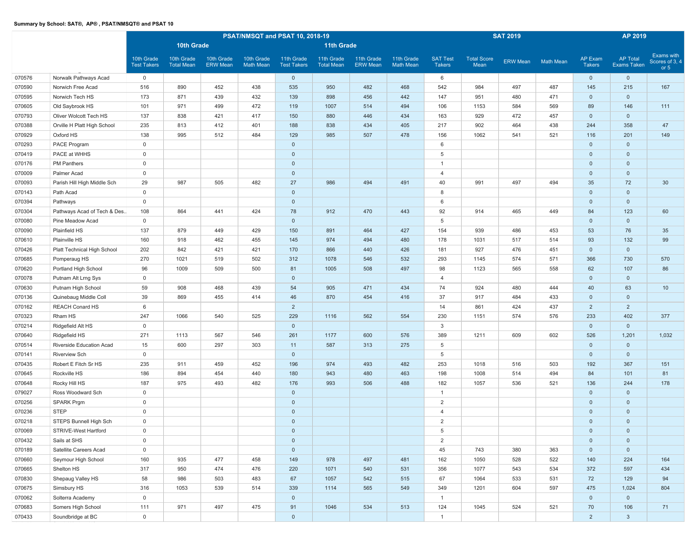|        |                             |                                  | PSAT/NMSQT and PSAT 10, 2018-19<br>10th Grade<br><b>11th Grade</b> |                               |                                |                                  |                                 |                               |                                |                                  |                            | <b>SAT 2019</b> |                  |                                 | AP 2019                               |                                        |
|--------|-----------------------------|----------------------------------|--------------------------------------------------------------------|-------------------------------|--------------------------------|----------------------------------|---------------------------------|-------------------------------|--------------------------------|----------------------------------|----------------------------|-----------------|------------------|---------------------------------|---------------------------------------|----------------------------------------|
|        |                             |                                  |                                                                    |                               |                                |                                  |                                 |                               |                                |                                  |                            |                 |                  |                                 |                                       |                                        |
|        |                             | 10th Grade<br><b>Test Takers</b> | 10th Grade<br><b>Total Mean</b>                                    | 10th Grade<br><b>ERW Mean</b> | 10th Grade<br><b>Math Mean</b> | 11th Grade<br><b>Test Takers</b> | 11th Grade<br><b>Total Mean</b> | 11th Grade<br><b>ERW Mean</b> | 11th Grade<br><b>Math Mean</b> | <b>SAT Test</b><br><b>Takers</b> | <b>Total Score</b><br>Mean | ERW Mean        | <b>Math Mean</b> | <b>AP Exam</b><br><b>Takers</b> | <b>AP Total</b><br><b>Exams Taken</b> | Exams with<br>Scores of 3, 4<br>or $5$ |
| 070576 | Norwalk Pathways Acad       | $\mathbf 0$                      |                                                                    |                               |                                | $\overline{0}$                   |                                 |                               |                                | 6                                |                            |                 |                  | $\overline{0}$                  | $\mathbf 0$                           |                                        |
| 070590 | Norwich Free Acad           | 516                              | 890                                                                | 452                           | 438                            | 535                              | 950                             | 482                           | 468                            | 542                              | 984                        | 497             | 487              | 145                             | 215                                   | 167                                    |
| 070595 | Norwich Tech HS             | 173                              | 871                                                                | 439                           | 432                            | 139                              | 898                             | 456                           | 442                            | 147                              | 951                        | 480             | 471              | $\overline{0}$                  | $\mathbf 0$                           |                                        |
| 070605 | Old Saybrook HS             | 101                              | 971                                                                | 499                           | 472                            | 119                              | 1007                            | 514                           | 494                            | 106                              | 1153                       | 584             | 569              | 89                              | 146                                   | 111                                    |
| 070793 | Oliver Wolcott Tech HS      | 137                              | 838                                                                | 421                           | 417                            | 150                              | 880                             | 446                           | 434                            | 163                              | 929                        | 472             | 457              | $\overline{0}$                  | $\mathbf 0$                           |                                        |
| 070388 | Orville H Platt High School | 235                              | 813                                                                | 412                           | 401                            | 188                              | 838                             | 434                           | 405                            | 217                              | 902                        | 464             | 438              | 244                             | 358                                   | 47                                     |
| 070929 | Oxford HS                   | 138                              | 995                                                                | 512                           | 484                            | 129                              | 985                             | 507                           | 478                            | 156                              | 1062                       | 541             | 521              | 116                             | 201                                   | 149                                    |
| 070293 | PACE Program                | $\mathsf 0$                      |                                                                    |                               |                                | $\mathbf{0}$                     |                                 |                               |                                | 6                                |                            |                 |                  | $\overline{0}$                  | $\mathbf 0$                           |                                        |
| 070419 | PACE at WHHS                | $\mathbf 0$                      |                                                                    |                               |                                | $\mathbf 0$                      |                                 |                               |                                | 5                                |                            |                 |                  | $\overline{0}$                  | $\mathbf 0$                           |                                        |
| 070176 | <b>PM Panthers</b>          | $\mathsf 0$                      |                                                                    |                               |                                | $\mathbf 0$                      |                                 |                               |                                | $\overline{1}$                   |                            |                 |                  | $\overline{0}$                  | $\mathbf 0$                           |                                        |
| 070009 | Palmer Acad                 | $\mathsf 0$                      |                                                                    |                               |                                | $\mathbf 0$                      |                                 |                               |                                | $\overline{4}$                   |                            |                 |                  | $\mathbf 0$                     | $\mathbf 0$                           |                                        |
| 070093 | Parish Hill High Middle Sch | 29                               | 987                                                                | 505                           | 482                            | 27                               | 986                             | 494                           | 491                            | 40                               | 991                        | 497             | 494              | 35                              | 72                                    | 30                                     |
| 070143 | Path Acad                   | $\mathsf 0$                      |                                                                    |                               |                                | $\mathbf 0$                      |                                 |                               |                                | 8                                |                            |                 |                  | $\mathbf 0$                     | $\mathbf 0$                           |                                        |
| 070394 | Pathways                    | $\mathbf 0$                      |                                                                    |                               |                                | $\mathbf 0$                      |                                 |                               |                                | 6                                |                            |                 |                  | $\mathbf 0$                     | $\mathsf 0$                           |                                        |
| 070304 | Pathways Acad of Tech & Des | 108                              | 864                                                                | 441                           | 424                            | 78                               | 912                             | 470                           | 443                            | 92                               | 914                        | 465             | 449              | 84                              | 123                                   | 60                                     |
| 070080 | Pine Meadow Acad            | $\mathsf 0$                      |                                                                    |                               |                                | $\mathbf 0$                      |                                 |                               |                                | 5                                |                            |                 |                  | $\overline{0}$                  | $\mathbf{0}$                          |                                        |
| 070090 | Plainfield HS               | 137                              | 879                                                                | 449                           | 429                            | 150                              | 891                             | 464                           | 427                            | 154                              | 939                        | 486             | 453              | 53                              | 76                                    | 35                                     |
| 070610 | Plainville HS               | 160                              | 918                                                                | 462                           | 455                            | 145                              | 974                             | 494                           | 480                            | 178                              | 1031                       | 517             | 514              | 93                              | 132                                   | 99                                     |
| 070426 | Platt Technical High School | 202                              | 842                                                                | 421                           | 421                            | 170                              | 866                             | 440                           | 426                            | 181                              | 927                        | 476             | 451              | $\overline{0}$                  | $\mathbf 0$                           |                                        |
| 070685 | Pomperaug HS                | 270                              | 1021                                                               | 519                           | 502                            | 312                              | 1078                            | 546                           | 532                            | 293                              | 1145                       | 574             | 571              | 366                             | 730                                   | 570                                    |
| 070620 | Portland High School        | 96                               | 1009                                                               | 509                           | 500                            | 81                               | 1005                            | 508                           | 497                            | 98                               | 1123                       | 565             | 558              | 62                              | 107                                   | 86                                     |
| 070078 | Putnam Alt Lrng Sys         | $\mathsf 0$                      |                                                                    |                               |                                | $\mathbf 0$                      |                                 |                               |                                | $\overline{4}$                   |                            |                 |                  | $\mathbf 0$                     | $\mathbf 0$                           |                                        |
| 070630 | Putnam High School          | 59                               | 908                                                                | 468                           | 439                            | 54                               | 905                             | 471                           | 434                            | 74                               | 924                        | 480             | 444              | 40                              | 63                                    | 10                                     |
| 070136 | Quinebaug Middle Coll       | 39                               | 869                                                                | 455                           | 414                            | 46                               | 870                             | 454                           | 416                            | 37                               | 917                        | 484             | 433              | $\overline{0}$                  | $\mathbf 0$                           |                                        |
| 070162 | <b>REACH Conard HS</b>      | 6                                |                                                                    |                               |                                | $\overline{2}$                   |                                 |                               |                                | 14                               | 861                        | 424             | 437              | $\overline{2}$                  | $\overline{2}$                        |                                        |
| 070323 | Rham HS                     | 247                              | 1066                                                               | 540                           | 525                            | 229                              | 1116                            | 562                           | 554                            | 230                              | 1151                       | 574             | 576              | 233                             | 402                                   | 377                                    |
| 070214 | Ridgefield Alt HS           | $\mathbf 0$                      |                                                                    |                               |                                | $\mathbf 0$                      |                                 |                               |                                | 3                                |                            |                 |                  | $\overline{0}$                  | $\mathbf 0$                           |                                        |
| 070640 | Ridgefield HS               | 271                              | 1113                                                               | 567                           | 546                            | 261                              | 1177                            | 600                           | 576                            | 389                              | 1211                       | 609             | 602              | 526                             | 1,201                                 | 1,032                                  |
| 070514 | Riverside Education Acad    | 15                               | 600                                                                | 297                           | 303                            | 11                               | 587                             | 313                           | 275                            | 5                                |                            |                 |                  | $\mathbf 0$                     | $\mathbf 0$                           |                                        |
| 070141 | <b>Riverview Sch</b>        | $\mathsf 0$                      |                                                                    |                               |                                | $\mathbf{0}$                     |                                 |                               |                                | 5                                |                            |                 |                  | $\overline{0}$                  | $\mathbf 0$                           |                                        |
| 070435 | Robert E Fitch Sr HS        | 235                              | 911                                                                | 459                           | 452                            | 196                              | 974                             | 493                           | 482                            | 253                              | 1018                       | 516             | 503              | 192                             | 367                                   | 151                                    |
| 070645 | Rockville HS                | 186                              | 894                                                                | 454                           | 440                            | 180                              | 943                             | 480                           | 463                            | 198                              | 1008                       | 514             | 494              | 84                              | 101                                   | 81                                     |
| 070648 | Rocky Hill HS               | 187                              | 975                                                                | 493                           | 482                            | 176                              | 993                             | 506                           | 488                            | 182                              | 1057                       | 536             | 521              | 136                             | 244                                   | 178                                    |
| 079027 | Ross Woodward Sch           | $\mathsf 0$                      |                                                                    |                               |                                | $\mathbf{0}$                     |                                 |                               |                                | $\overline{1}$                   |                            |                 |                  | $\overline{0}$                  | $\mathbf{0}$                          |                                        |
| 070256 | <b>SPARK Prgm</b>           | $\mathbf 0$                      |                                                                    |                               |                                | $\mathbf 0$                      |                                 |                               |                                | 2                                |                            |                 |                  | $\overline{0}$                  | $\mathbf 0$                           |                                        |
| 070236 | <b>STEP</b>                 | $\mathsf 0$                      |                                                                    |                               |                                | $\mathbf 0$                      |                                 |                               |                                | $\overline{4}$                   |                            |                 |                  | $\mathbf 0$                     | $\mathbf 0$                           |                                        |
| 070218 | STEPS Bunnell High Sch      | $\mathbf 0$                      |                                                                    |                               |                                | $\mathbf 0$                      |                                 |                               |                                | 2                                |                            |                 |                  | $\mathbf 0$                     | $\mathbf 0$                           |                                        |
| 070069 | STRIVE-West Hartford        | $\mathsf 0$                      |                                                                    |                               |                                | $\overline{0}$                   |                                 |                               |                                | 5                                |                            |                 |                  | $\overline{0}$                  | $\mathbf 0$                           |                                        |
| 070432 | Sails at SHS                | $\mathbf 0$                      |                                                                    |                               |                                | $\mathbf 0$                      |                                 |                               |                                | $\overline{2}$                   |                            |                 |                  | $\mathbf{0}$                    | $\mathbf 0$                           |                                        |
| 070189 | Satellite Careers Acad      | $\mathsf 0$                      |                                                                    |                               |                                | $\mathbf{0}$                     |                                 |                               |                                | 45                               | 743                        | 380             | 363              | $\mathbf 0$                     | $\mathbf 0$                           |                                        |
| 070660 | Seymour High School         | 160                              | 935                                                                | 477                           | 458                            | 149                              | 978                             | 497                           | 481                            | 162                              | 1050                       | 528             | 522              | 140                             | 224                                   | 164                                    |
| 070665 | Shelton HS                  | 317                              | 950                                                                | 474                           | 476                            | 220                              | 1071                            | 540                           | 531                            | 356                              | 1077                       | 543             | 534              | 372                             | 597                                   | 434                                    |
| 070830 | Shepaug Valley HS           | 58                               | 986                                                                | 503                           | 483                            | 67                               | 1057                            | 542                           | 515                            | 67                               | 1064                       | 533             | 531              | 72                              | 129                                   | 94                                     |
| 070675 | Simsbury HS                 | 316                              | 1053                                                               | 539                           | 514                            | 339                              | 1114                            | 565                           | 549                            | 349                              | 1201                       | 604             | 597              | 475                             | 1,024                                 | 804                                    |
| 070062 | Solterra Academy            | $\mathsf 0$                      |                                                                    |                               |                                | $\mathbf 0$                      |                                 |                               |                                | $\overline{1}$                   |                            |                 |                  | $\overline{0}$                  | $\mathbf 0$                           |                                        |
| 070683 | Somers High School          | 111                              | 971                                                                | 497                           | 475                            | 91                               | 1046                            | 534                           | 513                            | 124                              | 1045                       | 524             | 521              | 70                              | 106                                   | 71                                     |
| 070433 | Soundbridge at BC           | $\mathsf 0$                      |                                                                    |                               |                                | $\overline{0}$                   |                                 |                               |                                | $\mathbf{1}$                     |                            |                 |                  | $\overline{2}$                  | $\mathbf{3}$                          |                                        |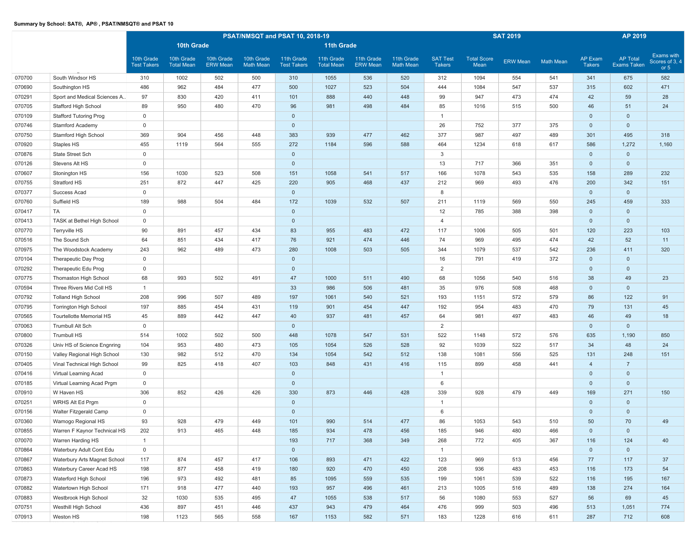|        |                                 |                                  |                                 |                               |                                | PSAT/NMSQT and PSAT 10, 2018-19  |                                 |                               |                                |                                  |                            | <b>SAT 2019</b> |                  |                                 | AP 2019                        |                                        |
|--------|---------------------------------|----------------------------------|---------------------------------|-------------------------------|--------------------------------|----------------------------------|---------------------------------|-------------------------------|--------------------------------|----------------------------------|----------------------------|-----------------|------------------|---------------------------------|--------------------------------|----------------------------------------|
|        |                                 |                                  | 10th Grade                      |                               |                                |                                  | <b>11th Grade</b>               |                               |                                |                                  |                            |                 |                  |                                 |                                |                                        |
|        |                                 | 10th Grade<br><b>Test Takers</b> | 10th Grade<br><b>Total Mean</b> | 10th Grade<br><b>ERW Mean</b> | 10th Grade<br><b>Math Mean</b> | 11th Grade<br><b>Test Takers</b> | 11th Grade<br><b>Total Mean</b> | 11th Grade<br><b>ERW Mean</b> | 11th Grade<br><b>Math Mean</b> | <b>SAT Test</b><br><b>Takers</b> | <b>Total Score</b><br>Mean | <b>ERW Mean</b> | <b>Math Mean</b> | <b>AP Exam</b><br><b>Takers</b> | <b>AP Total</b><br>Exams Taken | Exams with<br>Scores of 3, 4<br>or $5$ |
| 070700 | South Windsor HS                | 310                              | 1002                            | 502                           | 500                            | 310                              | 1055                            | 536                           | 520                            | 312                              | 1094                       | 554             | 541              | 341                             | 675                            | 582                                    |
| 070690 | Southington HS                  | 486                              | 962                             | 484                           | 477                            | 500                              | 1027                            | 523                           | 504                            | 444                              | 1084                       | 547             | 537              | 315                             | 602                            | 471                                    |
| 070291 | Sport and Medical Sciences A    | 97                               | 830                             | 420                           | 411                            | 101                              | 888                             | 440                           | 448                            | 99                               | 947                        | 473             | 474              | 42                              | 59                             | 28                                     |
| 070705 | Stafford High School            | 89                               | 950                             | 480                           | 470                            | 96                               | 981                             | 498                           | 484                            | 85                               | 1016                       | 515             | 500              | 46                              | 51                             | 24                                     |
| 070109 | <b>Stafford Tutoring Prog</b>   | $\mathsf 0$                      |                                 |                               |                                | $\mathbf{0}$                     |                                 |                               |                                | $\overline{1}$                   |                            |                 |                  | $\mathbf 0$                     | $\mathbf 0$                    |                                        |
| 070746 | <b>Stamford Academy</b>         | $\mathbf 0$                      |                                 |                               |                                | $\mathbf 0$                      |                                 |                               |                                | 26                               | 752                        | 377             | 375              | $\mathbf 0$                     | $\mathbf 0$                    |                                        |
| 070750 | Stamford High School            | 369                              | 904                             | 456                           | 448                            | 383                              | 939                             | 477                           | 462                            | 377                              | 987                        | 497             | 489              | 301                             | 495                            | 318                                    |
| 070920 | Staples HS                      | 455                              | 1119                            | 564                           | 555                            | 272                              | 1184                            | 596                           | 588                            | 464                              | 1234                       | 618             | 617              | 586                             | 1,272                          | 1,160                                  |
| 070876 | State Street Sch                | $\mathbf 0$                      |                                 |                               |                                | $\mathbf 0$                      |                                 |                               |                                | 3                                |                            |                 |                  | $\mathbf 0$                     | $\mathbf 0$                    |                                        |
| 070126 | Stevens Alt HS                  | $\mathbf 0$                      |                                 |                               |                                | $\mathbf{0}$                     |                                 |                               |                                | 13                               | 717                        | 366             | 351              | $\mathbf 0$                     | $\mathbf{0}$                   |                                        |
| 070607 | Stonington HS                   | 156                              | 1030                            | 523                           | 508                            | 151                              | 1058                            | 541                           | 517                            | 166                              | 1078                       | 543             | 535              | 158                             | 289                            | 232                                    |
| 070755 | Stratford HS                    | 251                              | 872                             | 447                           | 425                            | 220                              | 905                             | 468                           | 437                            | 212                              | 969                        | 493             | 476              | 200                             | 342                            | 151                                    |
| 070377 | Success Acad                    | $\mathbf 0$                      |                                 |                               |                                | $\mathbf 0$                      |                                 |                               |                                | 8                                |                            |                 |                  | $\mathbf{0}$                    | $\mathbf 0$                    |                                        |
| 070760 | Suffield HS                     | 189                              | 988                             | 504                           | 484                            | 172                              | 1039                            | 532                           | 507                            | 211                              | 1119                       | 569             | 550              | 245                             | 459                            | 333                                    |
| 070417 | TA                              | $\mathbf 0$                      |                                 |                               |                                | $\mathbf{0}$                     |                                 |                               |                                | 12                               | 785                        | 388             | 398              | $\mathbf 0$                     | $\mathbf 0$                    |                                        |
| 070413 | TASK at Bethel High School      | $\mathbf 0$                      |                                 |                               |                                | $\mathbf 0$                      |                                 |                               |                                | $\overline{4}$                   |                            |                 |                  | $\mathbf 0$                     | $\mathbf 0$                    |                                        |
| 070770 | Terryville HS                   | 90                               | 891                             | 457                           | 434                            | 83                               | 955                             | 483                           | 472                            | 117                              | 1006                       | 505             | 501              | 120                             | 223                            | 103                                    |
| 070516 | The Sound Sch                   | 64                               | 851                             | 434                           | 417                            | 76                               | 921                             | 474                           | 446                            | 74                               | 969                        | 495             | 474              | 42                              | 52                             | 11                                     |
| 070975 | The Woodstock Academy           | 243                              | 962                             | 489                           | 473                            | 280                              | 1008                            | 503                           | 505                            | 344                              | 1079                       | 537             | 542              | 236                             | 411                            | 320                                    |
| 070104 | Therapeutic Day Prog            | $\mathbf 0$                      |                                 |                               |                                | $\mathbf 0$                      |                                 |                               |                                | 16                               | 791                        | 419             | 372              | $\mathbf 0$                     | $\mathbf 0$                    |                                        |
| 070292 | Therapeutic Edu Prog            | $\mathbf 0$                      |                                 |                               |                                | $\mathbf 0$                      |                                 |                               |                                | $\overline{2}$                   |                            |                 |                  | $\mathbf 0$                     | $\mathbf 0$                    |                                        |
| 070775 | Thomaston High School           | 68                               | 993                             | 502                           | 491                            | 47                               | 1000                            | 511                           | 490                            | 68                               | 1056                       | 540             | 516              | 38                              | 49                             | 23                                     |
| 070594 | Three Rivers Mid Coll HS        | $\overline{1}$                   |                                 |                               |                                | 33                               | 986                             | 506                           | 481                            | 35                               | 976                        | 508             | 468              | $\mathbf 0$                     | $\mathbf 0$                    |                                        |
| 070792 | <b>Tolland High School</b>      | 208                              | 996                             | 507                           | 489                            | 197                              | 1061                            | 540                           | 521                            | 193                              | 1151                       | 572             | 579              | 86                              | 122                            | 91                                     |
| 070795 | <b>Torrington High School</b>   | 197                              | 885                             | 454                           | 431                            | 119                              | 901                             | 454                           | 447                            | 192                              | 954                        | 483             | 470              | 79                              | 131                            | 45                                     |
| 070565 | <b>Tourtellotte Memorial HS</b> | 45                               | 889                             | 442                           | 447                            | 40                               | 937                             | 481                           | 457                            | 64                               | 981                        | 497             | 483              | 46                              | 49                             | 18                                     |
| 070063 | <b>Trumbull Alt Sch</b>         | $\mathbf 0$                      |                                 |                               |                                | $\mathbf 0$                      |                                 |                               |                                | 2                                |                            |                 |                  | $\mathbf 0$                     | $\mathbf 0$                    |                                        |
| 070800 | Trumbull HS                     | 514                              | 1002                            | 502                           | 500                            | 448                              | 1078                            | 547                           | 531                            | 522                              | 1148                       | 572             | 576              | 635                             | 1,190                          | 850                                    |
| 070326 | Univ HS of Science Engnring     | 104                              | 953                             | 480                           | 473                            | 105                              | 1054                            | 526                           | 528                            | 92                               | 1039                       | 522             | 517              | 34                              | 48                             | 24                                     |
| 070150 | Valley Regional High School     | 130                              | 982                             | 512                           | 470                            | 134                              | 1054                            | 542                           | 512                            | 138                              | 1081                       | 556             | 525              | 131                             | 248                            | 151                                    |
| 070405 | Vinal Technical High School     | 99                               | 825                             | 418                           | 407                            | 103                              | 848                             | 431                           | 416                            | 115                              | 899                        | 458             | 441              | $\overline{4}$                  | $\overline{7}$                 |                                        |
| 070416 | Virtual Learning Acad           | $\mathbf 0$                      |                                 |                               |                                | $\mathbf 0$                      |                                 |                               |                                | $\overline{1}$                   |                            |                 |                  | $\overline{0}$                  | $\mathbf 0$                    |                                        |
| 070185 | Virtual Learning Acad Prgm      | $\mathbf 0$                      |                                 |                               |                                | $\mathbf 0$                      |                                 |                               |                                | 6                                |                            |                 |                  | $\mathbf 0$                     | $\mathbf 0$                    |                                        |
| 070910 | W Haven HS                      | 306                              | 852                             | 426                           | 426                            | 330                              | 873                             | 446                           | 428                            | 339                              | 928                        | 479             | 449              | 169                             | 271                            | 150                                    |
| 070251 | WRHS Alt Ed Prgm                | $\mathbf 0$                      |                                 |                               |                                | $\mathbf 0$                      |                                 |                               |                                | -1                               |                            |                 |                  | $\mathbf 0$                     | $\mathbf 0$                    |                                        |
| 070156 | Walter Fitzgerald Camp          | $\mathbf 0$                      |                                 |                               |                                | $\mathbf 0$                      |                                 |                               |                                | 6                                |                            |                 |                  | $\mathbf 0$                     | $\mathbf 0$                    |                                        |
| 070360 | Wamogo Regional HS              | 93                               | 928                             | 479                           | 449                            | 101                              | 990                             | 514                           | 477                            | 86                               | 1053                       | 543             | 510              | 50                              | 70                             | 49                                     |
| 070855 | Warren F Kaynor Technical HS    | 202                              | 913                             | 465                           | 448                            | 185                              | 934                             | 478                           | 456                            | 185                              | 946                        | 480             | 466              | $\mathbf{0}$                    | $\mathbf 0$                    |                                        |
| 070070 | Warren Harding HS               | $\overline{1}$                   |                                 |                               |                                | 193                              | 717                             | 368                           | 349                            | 268                              | 772                        | 405             | 367              | 116                             | 124                            | 40                                     |
| 070864 | Waterbury Adult Cont Edu        | $\mathbf 0$                      |                                 |                               |                                | $\overline{0}$                   |                                 |                               |                                | $\overline{1}$                   |                            |                 |                  | $\overline{0}$                  | $\mathbf{0}$                   |                                        |
| 070867 | Waterbury Arts Magnet School    | 117                              | 874                             | 457                           | 417                            | 106                              | 893                             | 471                           | 422                            | 123                              | 969                        | 513             | 456              | 77                              | 117                            | 37                                     |
| 070863 | Waterbury Career Acad HS        | 198                              | 877                             | 458                           | 419                            | 180                              | 920                             | 470                           | 450                            | 208                              | 936                        | 483             | 453              | 116                             | 173                            | 54                                     |
| 070873 | Waterford High School           | 196                              | 973                             | 492                           | 481                            | 85                               | 1095                            | 559                           | 535                            | 199                              | 1061                       | 539             | 522              | 116                             | 195                            | 167                                    |
| 070882 | Watertown High School           | 171                              | 918                             | 477                           | 440                            | 193                              | 957                             | 496                           | 461                            | 213                              | 1005                       | 516             | 489              | 138                             | 274                            | 164                                    |
| 070883 | Westbrook High School           | 32                               | 1030                            | 535                           | 495                            | 47                               | 1055                            | 538                           | 517                            | 56                               | 1080                       | 553             | 527              | 56                              | 69                             | 45                                     |
| 070751 | Westhill High School            | 436                              | 897                             | 451                           | 446                            | 437                              | 943                             | 479                           | 464                            | 476                              | 999                        | 503             | 496              | 513                             | 1,051                          | 774                                    |
| 070913 | Weston HS                       | 198                              | 1123                            | 565                           | 558                            | 167                              | 1153                            | 582                           | 571                            | 183                              | 1228                       | 616             | 611              | 287                             | 712                            | 608                                    |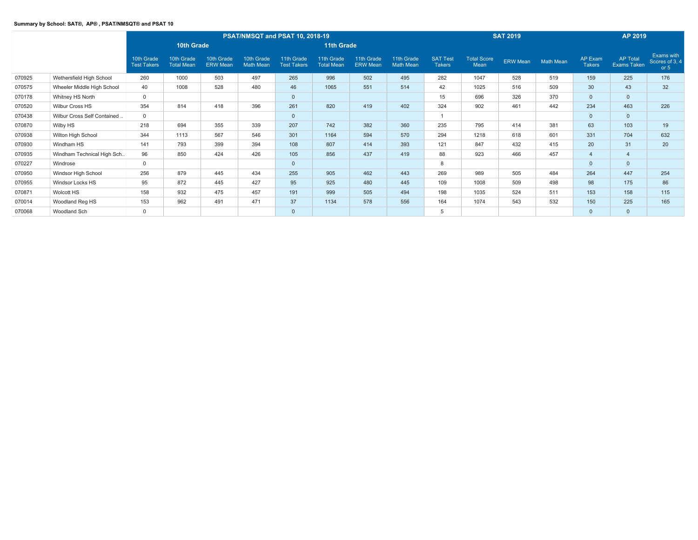|        |                             |                                  |                                 |                               | PSAT/NMSQT and PSAT 10, 2018-19 |                                  |                                 |                               |                         |                                  |                            | <b>SAT 2019</b> |           |                          | AP 2019                               |                                               |
|--------|-----------------------------|----------------------------------|---------------------------------|-------------------------------|---------------------------------|----------------------------------|---------------------------------|-------------------------------|-------------------------|----------------------------------|----------------------------|-----------------|-----------|--------------------------|---------------------------------------|-----------------------------------------------|
|        |                             |                                  | 10th Grade                      |                               |                                 |                                  | 11th Grade                      |                               |                         |                                  |                            |                 |           |                          |                                       |                                               |
|        |                             | 10th Grade<br><b>Test Takers</b> | 10th Grade<br><b>Total Mean</b> | 10th Grade<br><b>ERW Mean</b> | 10th Grade<br><b>Math Mean</b>  | 11th Grade<br><b>Test Takers</b> | 11th Grade<br><b>Total Mean</b> | 11th Grade<br><b>ERW</b> Mean | 11th Grade<br>Math Mean | <b>SAT Test</b><br><b>Takers</b> | <b>Total Score</b><br>Mean | <b>ERW Mean</b> | Math Mean | AP Exam<br><b>Takers</b> | <b>AP Total</b><br><b>Exams Taken</b> | <b>Exams with</b><br>Scores of 3, 4<br>or $5$ |
| 070925 | Wethersfield High School    | 260                              | 1000                            | 503                           | 497                             | 265                              | 996                             | 502                           | 495                     | 282                              | 1047                       | 528             | 519       | 159                      | 225                                   | 176                                           |
| 070575 | Wheeler Middle High School  | 40                               | 1008                            | 528                           | 480                             | 46                               | 1065                            | 551                           | 514                     | 42                               | 1025                       | 516             | 509       | 30                       | 43                                    | 32                                            |
| 070178 | Whitney HS North            | $\Omega$                         |                                 |                               |                                 | $\mathbf{0}$                     |                                 |                               |                         | 15                               | 696                        | 326             | 370       | $\mathbf{0}$             | $\Omega$                              |                                               |
| 070520 | Wilbur Cross HS             | 354                              | 814                             | 418                           | 396                             | 261                              | 820                             | 419                           | 402                     | 324                              | 902                        | 461             | 442       | 234                      | 463                                   | 226                                           |
| 070438 | Wilbur Cross Self Contained | $\mathbf 0$                      |                                 |                               |                                 | $\mathbf{0}$                     |                                 |                               |                         |                                  |                            |                 |           | $\overline{0}$           | $\mathbf{0}$                          |                                               |
| 070870 | Wilby HS                    | 218                              | 694                             | 355                           | 339                             | 207                              | 742                             | 382                           | 360                     | 235                              | 795                        | 414             | 381       | 63                       | 103                                   | 19                                            |
| 070938 | Wilton High School          | 344                              | 1113                            | 567                           | 546                             | 301                              | 1164                            | 594                           | 570                     | 294                              | 1218                       | 618             | 601       | 331                      | 704                                   | 632                                           |
| 070930 | Windham HS                  | 141                              | 793                             | 399                           | 394                             | 108                              | 807                             | 414                           | 393                     | 121                              | 847                        | 432             | 415       | 20                       | 31                                    | 20                                            |
| 070935 | Windham Technical High Sch  | 96                               | 850                             | 424                           | 426                             | 105                              | 856                             | 437                           | 419                     | 88                               | 923                        | 466             | 457       | $\overline{4}$           | $\overline{4}$                        |                                               |
| 070227 | Windrose                    | $\mathbf 0$                      |                                 |                               |                                 | $\mathbf{0}$                     |                                 |                               |                         | 8                                |                            |                 |           | $\mathbf{0}$             | $\mathbf{0}$                          |                                               |
| 070950 | Windsor High School         | 256                              | 879                             | 445                           | 434                             | 255                              | 905                             | 462                           | 443                     | 269                              | 989                        | 505             | 484       | 264                      | 447                                   | 254                                           |
| 070955 | Windsor Locks HS            | 95                               | 872                             | 445                           | 427                             | 95                               | 925                             | 480                           | 445                     | 109                              | 1008                       | 509             | 498       | 98                       | 175                                   | 86                                            |
| 070871 | Wolcott HS                  | 158                              | 932                             | 475                           | 457                             | 191                              | 999                             | 505                           | 494                     | 198                              | 1035                       | 524             | 511       | 153                      | 158                                   | 115                                           |
| 070014 | Woodland Reg HS             | 153                              | 962                             | 491                           | 471                             | 37                               | 1134                            | 578                           | 556                     | 164                              | 1074                       | 543             | 532       | 150                      | 225                                   | 165                                           |
| 070068 | Woodland Sch                | $\mathbf{0}$                     |                                 |                               |                                 | $\mathbf{0}$                     |                                 |                               |                         |                                  |                            |                 |           | $\mathbf{0}$             | $\mathbf{0}$                          |                                               |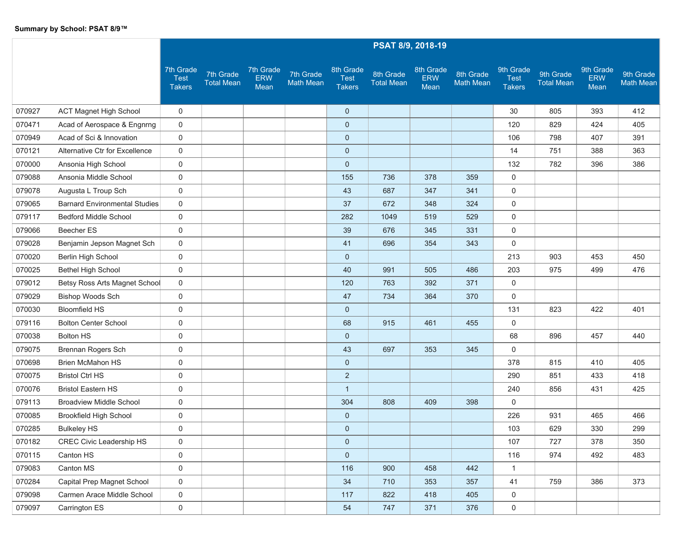|        |                                      |                                           |                                |                                 |                               |                                           | PSAT 8/9, 2018-19              |                                 |                               |                                           |                                |                                 |                               |
|--------|--------------------------------------|-------------------------------------------|--------------------------------|---------------------------------|-------------------------------|-------------------------------------------|--------------------------------|---------------------------------|-------------------------------|-------------------------------------------|--------------------------------|---------------------------------|-------------------------------|
|        |                                      | 7th Grade<br><b>Test</b><br><b>Takers</b> | 7th Grade<br><b>Total Mean</b> | 7th Grade<br><b>ERW</b><br>Mean | 7th Grade<br><b>Math Mean</b> | 8th Grade<br><b>Test</b><br><b>Takers</b> | 8th Grade<br><b>Total Mean</b> | 8th Grade<br><b>ERW</b><br>Mean | 8th Grade<br><b>Math Mean</b> | 9th Grade<br><b>Test</b><br><b>Takers</b> | 9th Grade<br><b>Total Mean</b> | 9th Grade<br><b>ERW</b><br>Mean | 9th Grade<br><b>Math Mean</b> |
| 070927 | <b>ACT Magnet High School</b>        | 0                                         |                                |                                 |                               | $\mathbf{0}$                              |                                |                                 |                               | 30                                        | 805                            | 393                             | 412                           |
| 070471 | Acad of Aerospace & Engnrng          | $\mathsf{O}$                              |                                |                                 |                               | $\mathbf{0}$                              |                                |                                 |                               | 120                                       | 829                            | 424                             | 405                           |
| 070949 | Acad of Sci & Innovation             | 0                                         |                                |                                 |                               | $\pmb{0}$                                 |                                |                                 |                               | 106                                       | 798                            | 407                             | 391                           |
| 070121 | Alternative Ctr for Excellence       | 0                                         |                                |                                 |                               | $\mathbf 0$                               |                                |                                 |                               | 14                                        | 751                            | 388                             | 363                           |
| 070000 | Ansonia High School                  | 0                                         |                                |                                 |                               | $\mathbf 0$                               |                                |                                 |                               | 132                                       | 782                            | 396                             | 386                           |
| 079088 | Ansonia Middle School                | $\mathsf{O}$                              |                                |                                 |                               | 155                                       | 736                            | 378                             | 359                           | $\mathbf{0}$                              |                                |                                 |                               |
| 079078 | Augusta L Troup Sch                  | 0                                         |                                |                                 |                               | 43                                        | 687                            | 347                             | 341                           | $\mathsf{O}$                              |                                |                                 |                               |
| 079065 | <b>Barnard Environmental Studies</b> | $\mathsf{O}$                              |                                |                                 |                               | 37                                        | 672                            | 348                             | 324                           | 0                                         |                                |                                 |                               |
| 079117 | <b>Bedford Middle School</b>         | 0                                         |                                |                                 |                               | 282                                       | 1049                           | 519                             | 529                           | 0                                         |                                |                                 |                               |
| 079066 | Beecher ES                           | $\mathsf{O}$                              |                                |                                 |                               | 39                                        | 676                            | 345                             | 331                           | 0                                         |                                |                                 |                               |
| 079028 | Benjamin Jepson Magnet Sch           | $\mathsf{O}$                              |                                |                                 |                               | 41                                        | 696                            | 354                             | 343                           | 0                                         |                                |                                 |                               |
| 070020 | Berlin High School                   | 0                                         |                                |                                 |                               | $\mathbf{0}$                              |                                |                                 |                               | 213                                       | 903                            | 453                             | 450                           |
| 070025 | <b>Bethel High School</b>            | 0                                         |                                |                                 |                               | 40                                        | 991                            | 505                             | 486                           | 203                                       | 975                            | 499                             | 476                           |
| 079012 | Betsy Ross Arts Magnet School        | $\mathbf 0$                               |                                |                                 |                               | 120                                       | 763                            | 392                             | 371                           | 0                                         |                                |                                 |                               |
| 079029 | Bishop Woods Sch                     | 0                                         |                                |                                 |                               | 47                                        | 734                            | 364                             | 370                           | 0                                         |                                |                                 |                               |
| 070030 | <b>Bloomfield HS</b>                 | 0                                         |                                |                                 |                               | $\mathbf{0}$                              |                                |                                 |                               | 131                                       | 823                            | 422                             | 401                           |
| 079116 | <b>Bolton Center School</b>          | 0                                         |                                |                                 |                               | 68                                        | 915                            | 461                             | 455                           | $\mathbf 0$                               |                                |                                 |                               |
| 070038 | <b>Bolton HS</b>                     | 0                                         |                                |                                 |                               | $\mathbf{0}$                              |                                |                                 |                               | 68                                        | 896                            | 457                             | 440                           |
| 079075 | Brennan Rogers Sch                   | 0                                         |                                |                                 |                               | 43                                        | 697                            | 353                             | 345                           | 0                                         |                                |                                 |                               |
| 070698 | <b>Brien McMahon HS</b>              | 0                                         |                                |                                 |                               | $\mathbf 0$                               |                                |                                 |                               | 378                                       | 815                            | 410                             | 405                           |
| 070075 | <b>Bristol Ctrl HS</b>               | 0                                         |                                |                                 |                               | $\overline{2}$                            |                                |                                 |                               | 290                                       | 851                            | 433                             | 418                           |
| 070076 | <b>Bristol Eastern HS</b>            | 0                                         |                                |                                 |                               | $\mathbf{1}$                              |                                |                                 |                               | 240                                       | 856                            | 431                             | 425                           |
| 079113 | <b>Broadview Middle School</b>       | 0                                         |                                |                                 |                               | 304                                       | 808                            | 409                             | 398                           | 0                                         |                                |                                 |                               |
| 070085 | <b>Brookfield High School</b>        | 0                                         |                                |                                 |                               | $\mathbf 0$                               |                                |                                 |                               | 226                                       | 931                            | 465                             | 466                           |
| 070285 | <b>Bulkeley HS</b>                   | 0                                         |                                |                                 |                               | $\mathbf 0$                               |                                |                                 |                               | 103                                       | 629                            | 330                             | 299                           |
| 070182 | <b>CREC Civic Leadership HS</b>      | 0                                         |                                |                                 |                               | $\mathbf 0$                               |                                |                                 |                               | 107                                       | 727                            | 378                             | 350                           |
| 070115 | Canton HS                            | $\mathbf 0$                               |                                |                                 |                               | $\mathbf 0$                               |                                |                                 |                               | 116                                       | 974                            | 492                             | 483                           |
| 079083 | Canton MS                            | $\mathbf 0$                               |                                |                                 |                               | 116                                       | 900                            | 458                             | 442                           | $\mathbf{1}$                              |                                |                                 |                               |
| 070284 | Capital Prep Magnet School           | $\mathbf 0$                               |                                |                                 |                               | 34                                        | 710                            | 353                             | 357                           | 41                                        | 759                            | 386                             | 373                           |
| 079098 | Carmen Arace Middle School           | $\mathbf 0$                               |                                |                                 |                               | 117                                       | 822                            | 418                             | 405                           | $\mathbf 0$                               |                                |                                 |                               |
| 079097 | Carrington ES                        | $\mathbf 0$                               |                                |                                 |                               | 54                                        | 747                            | 371                             | 376                           | $\overline{0}$                            |                                |                                 |                               |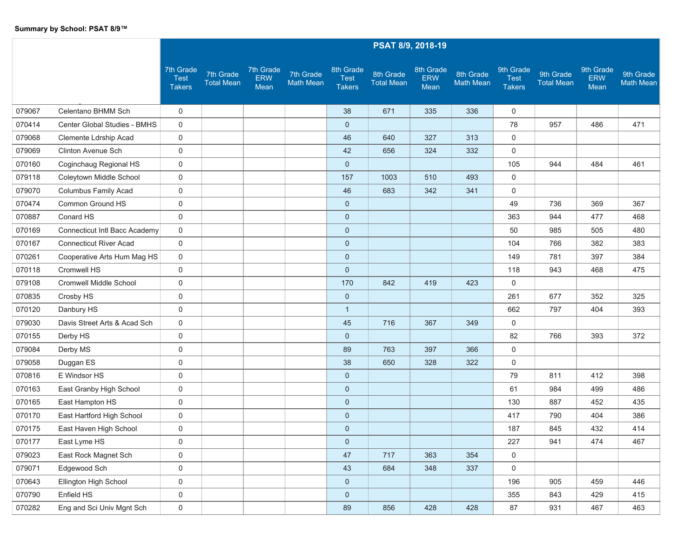|        |                               |                                           |                                |                                 |                               |                                           |                                | PSAT 8/9, 2018-19               |                               |                                           |                                |                                 |                               |
|--------|-------------------------------|-------------------------------------------|--------------------------------|---------------------------------|-------------------------------|-------------------------------------------|--------------------------------|---------------------------------|-------------------------------|-------------------------------------------|--------------------------------|---------------------------------|-------------------------------|
|        |                               | 7th Grade<br><b>Test</b><br><b>Takers</b> | 7th Grade<br><b>Total Mean</b> | 7th Grade<br><b>ERW</b><br>Mean | 7th Grade<br><b>Math Mean</b> | 8th Grade<br><b>Test</b><br><b>Takers</b> | 8th Grade<br><b>Total Mean</b> | 8th Grade<br><b>ERW</b><br>Mean | 8th Grade<br><b>Math Mean</b> | 9th Grade<br><b>Test</b><br><b>Takers</b> | 9th Grade<br><b>Total Mean</b> | 9th Grade<br><b>ERW</b><br>Mean | 9th Grade<br><b>Math Mean</b> |
| 079067 | Celentano BHMM Sch            | $\mathbf 0$                               |                                |                                 |                               | 38                                        | 671                            | 335                             | 336                           | 0                                         |                                |                                 |                               |
| 070414 | Center Global Studies - BMHS  | 0                                         |                                |                                 |                               | $\mathbf 0$                               |                                |                                 |                               | 78                                        | 957                            | 486                             | 471                           |
| 079068 | Clemente Ldrship Acad         | 0                                         |                                |                                 |                               | 46                                        | 640                            | 327                             | 313                           | 0                                         |                                |                                 |                               |
| 079069 | Clinton Avenue Sch            | $\mathbf 0$                               |                                |                                 |                               | 42                                        | 656                            | 324                             | 332                           | $\mathbf 0$                               |                                |                                 |                               |
| 070160 | Coginchaug Regional HS        | 0                                         |                                |                                 |                               | $\mathbf 0$                               |                                |                                 |                               | 105                                       | 944                            | 484                             | 461                           |
| 079118 | Coleytown Middle School       | 0                                         |                                |                                 |                               | 157                                       | 1003                           | 510                             | 493                           | $\mathbf 0$                               |                                |                                 |                               |
| 079070 | Columbus Family Acad          | 0                                         |                                |                                 |                               | 46                                        | 683                            | 342                             | 341                           | 0                                         |                                |                                 |                               |
| 070474 | Common Ground HS              | 0                                         |                                |                                 |                               | $\mathbf 0$                               |                                |                                 |                               | 49                                        | 736                            | 369                             | 367                           |
| 070887 | Conard HS                     | 0                                         |                                |                                 |                               | $\mathbf 0$                               |                                |                                 |                               | 363                                       | 944                            | 477                             | 468                           |
| 070169 | Connecticut Intl Bacc Academy | 0                                         |                                |                                 |                               | $\mathbf 0$                               |                                |                                 |                               | 50                                        | 985                            | 505                             | 480                           |
| 070167 | <b>Connecticut River Acad</b> | $\mathbf 0$                               |                                |                                 |                               | $\mathbf 0$                               |                                |                                 |                               | 104                                       | 766                            | 382                             | 383                           |
| 070261 | Cooperative Arts Hum Mag HS   | 0                                         |                                |                                 |                               | $\mathbf 0$                               |                                |                                 |                               | 149                                       | 781                            | 397                             | 384                           |
| 070118 | Cromwell HS                   | 0                                         |                                |                                 |                               | $\mathbf 0$                               |                                |                                 |                               | 118                                       | 943                            | 468                             | 475                           |
| 079108 | Cromwell Middle School        | 0                                         |                                |                                 |                               | 170                                       | 842                            | 419                             | 423                           | 0                                         |                                |                                 |                               |
| 070835 | Crosby HS                     | $\mathbf 0$                               |                                |                                 |                               | $\mathbf 0$                               |                                |                                 |                               | 261                                       | 677                            | 352                             | 325                           |
| 070120 | Danbury HS                    | 0                                         |                                |                                 |                               | $\mathbf{1}$                              |                                |                                 |                               | 662                                       | 797                            | 404                             | 393                           |
| 079030 | Davis Street Arts & Acad Sch  | 0                                         |                                |                                 |                               | 45                                        | 716                            | 367                             | 349                           | 0                                         |                                |                                 |                               |
| 070155 | Derby HS                      | 0                                         |                                |                                 |                               | $\mathbf 0$                               |                                |                                 |                               | 82                                        | 766                            | 393                             | 372                           |
| 079084 | Derby MS                      | $\mathbf 0$                               |                                |                                 |                               | 89                                        | 763                            | 397                             | 366                           | $\mathbf 0$                               |                                |                                 |                               |
| 079058 | Duggan ES                     | 0                                         |                                |                                 |                               | 38                                        | 650                            | 328                             | 322                           | 0                                         |                                |                                 |                               |
| 070816 | E Windsor HS                  | 0                                         |                                |                                 |                               | $\mathbf 0$                               |                                |                                 |                               | 79                                        | 811                            | 412                             | 398                           |
| 070163 | East Granby High School       | 0                                         |                                |                                 |                               | $\mathbf 0$                               |                                |                                 |                               | 61                                        | 984                            | 499                             | 486                           |
| 070165 | East Hampton HS               | 0                                         |                                |                                 |                               | $\mathbf 0$                               |                                |                                 |                               | 130                                       | 887                            | 452                             | 435                           |
| 070170 | East Hartford High School     | 0                                         |                                |                                 |                               | $\mathbf 0$                               |                                |                                 |                               | 417                                       | 790                            | 404                             | 386                           |
| 070175 | East Haven High School        | 0                                         |                                |                                 |                               | $\mathbf 0$                               |                                |                                 |                               | 187                                       | 845                            | 432                             | 414                           |
| 070177 | East Lyme HS                  | 0                                         |                                |                                 |                               | $\mathbf 0$                               |                                |                                 |                               | 227                                       | 941                            | 474                             | 467                           |
| 079023 | East Rock Magnet Sch          | 0                                         |                                |                                 |                               | 47                                        | 717                            | 363                             | 354                           | 0                                         |                                |                                 |                               |
| 079071 | Edgewood Sch                  | $\mathbf 0$                               |                                |                                 |                               | 43                                        | 684                            | 348                             | 337                           | $\mathbf 0$                               |                                |                                 |                               |
| 070643 | Ellington High School         | 0                                         |                                |                                 |                               | $\overline{0}$                            |                                |                                 |                               | 196                                       | 905                            | 459                             | 446                           |
| 070790 | Enfield HS                    | 0                                         |                                |                                 |                               | $\pmb{0}$                                 |                                |                                 |                               | 355                                       | 843                            | 429                             | 415                           |
| 070282 | Eng and Sci Univ Mgnt Sch     | $\mathsf{O}$                              |                                |                                 |                               | 89                                        | 856                            | 428                             | 428                           | 87                                        | 931                            | 467                             | 463                           |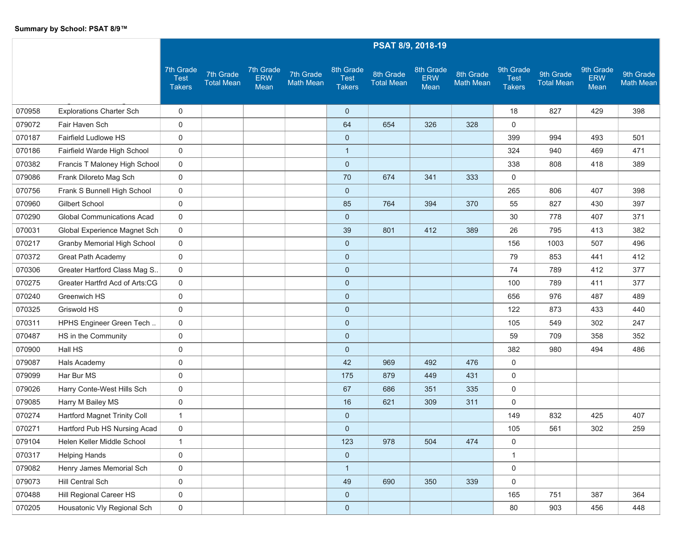|        |                                    |                                           |                                |                                 |                               |                                           |                                | PSAT 8/9, 2018-19               |                               |                                    |                                |                                 |                               |
|--------|------------------------------------|-------------------------------------------|--------------------------------|---------------------------------|-------------------------------|-------------------------------------------|--------------------------------|---------------------------------|-------------------------------|------------------------------------|--------------------------------|---------------------------------|-------------------------------|
|        |                                    | 7th Grade<br><b>Test</b><br><b>Takers</b> | 7th Grade<br><b>Total Mean</b> | 7th Grade<br><b>ERW</b><br>Mean | 7th Grade<br><b>Math Mean</b> | 8th Grade<br><b>Test</b><br><b>Takers</b> | 8th Grade<br><b>Total Mean</b> | 8th Grade<br><b>ERW</b><br>Mean | 8th Grade<br><b>Math Mean</b> | 9th Grade<br>Test<br><b>Takers</b> | 9th Grade<br><b>Total Mean</b> | 9th Grade<br><b>ERW</b><br>Mean | 9th Grade<br><b>Math Mean</b> |
| 070958 | <b>Explorations Charter Sch</b>    | 0                                         |                                |                                 |                               | $\mathbf{0}$                              |                                |                                 |                               | 18                                 | 827                            | 429                             | 398                           |
| 079072 | Fair Haven Sch                     | $\mathbf 0$                               |                                |                                 |                               | 64                                        | 654                            | 326                             | 328                           | 0                                  |                                |                                 |                               |
| 070187 | Fairfield Ludlowe HS               | 0                                         |                                |                                 |                               | $\mathbf 0$                               |                                |                                 |                               | 399                                | 994                            | 493                             | 501                           |
| 070186 | Fairfield Warde High School        | 0                                         |                                |                                 |                               | $\mathbf{1}$                              |                                |                                 |                               | 324                                | 940                            | 469                             | 471                           |
| 070382 | Francis T Maloney High School      | $\mathbf 0$                               |                                |                                 |                               | $\mathbf{0}$                              |                                |                                 |                               | 338                                | 808                            | 418                             | 389                           |
| 079086 | Frank Diloreto Mag Sch             | $\mathsf{O}$                              |                                |                                 |                               | 70                                        | 674                            | 341                             | 333                           | 0                                  |                                |                                 |                               |
| 070756 | Frank S Bunnell High School        | 0                                         |                                |                                 |                               | $\mathbf 0$                               |                                |                                 |                               | 265                                | 806                            | 407                             | 398                           |
| 070960 | Gilbert School                     | 0                                         |                                |                                 |                               | 85                                        | 764                            | 394                             | 370                           | 55                                 | 827                            | 430                             | 397                           |
| 070290 | <b>Global Communications Acad</b>  | $\mathsf{O}$                              |                                |                                 |                               | $\mathbf 0$                               |                                |                                 |                               | 30                                 | 778                            | 407                             | 371                           |
| 070031 | Global Experience Magnet Sch       | $\mathbf 0$                               |                                |                                 |                               | 39                                        | 801                            | 412                             | 389                           | 26                                 | 795                            | 413                             | 382                           |
| 070217 | <b>Granby Memorial High School</b> | $\mathsf{O}$                              |                                |                                 |                               | $\mathbf{0}$                              |                                |                                 |                               | 156                                | 1003                           | 507                             | 496                           |
| 070372 | <b>Great Path Academy</b>          | 0                                         |                                |                                 |                               | $\mathbf{0}$                              |                                |                                 |                               | 79                                 | 853                            | 441                             | 412                           |
| 070306 | Greater Hartford Class Mag S       | 0                                         |                                |                                 |                               | $\mathbf{0}$                              |                                |                                 |                               | 74                                 | 789                            | 412                             | 377                           |
| 070275 | Greater Hartfrd Acd of Arts:CG     | $\mathbf 0$                               |                                |                                 |                               | $\mathbf{0}$                              |                                |                                 |                               | 100                                | 789                            | 411                             | 377                           |
| 070240 | Greenwich HS                       | 0                                         |                                |                                 |                               | $\pmb{0}$                                 |                                |                                 |                               | 656                                | 976                            | 487                             | 489                           |
| 070325 | Griswold HS                        | 0                                         |                                |                                 |                               | $\mathbf 0$                               |                                |                                 |                               | 122                                | 873                            | 433                             | 440                           |
| 070311 | HPHS Engineer Green Tech           | 0                                         |                                |                                 |                               | $\mathbf{0}$                              |                                |                                 |                               | 105                                | 549                            | 302                             | 247                           |
| 070487 | HS in the Community                | $\mathsf{O}$                              |                                |                                 |                               | $\mathbf{0}$                              |                                |                                 |                               | 59                                 | 709                            | 358                             | 352                           |
| 070900 | Hall HS                            | 0                                         |                                |                                 |                               | $\mathbf 0$                               |                                |                                 |                               | 382                                | 980                            | 494                             | 486                           |
| 079087 | Hals Academy                       | 0                                         |                                |                                 |                               | 42                                        | 969                            | 492                             | 476                           | 0                                  |                                |                                 |                               |
| 079099 | Har Bur MS                         | 0                                         |                                |                                 |                               | 175                                       | 879                            | 449                             | 431                           | 0                                  |                                |                                 |                               |
| 079026 | Harry Conte-West Hills Sch         | 0                                         |                                |                                 |                               | 67                                        | 686                            | 351                             | 335                           | 0                                  |                                |                                 |                               |
| 079085 | Harry M Bailey MS                  | 0                                         |                                |                                 |                               | 16                                        | 621                            | 309                             | 311                           | 0                                  |                                |                                 |                               |
| 070274 | Hartford Magnet Trinity Coll       | 1                                         |                                |                                 |                               | $\mathbf{0}$                              |                                |                                 |                               | 149                                | 832                            | 425                             | 407                           |
| 070271 | Hartford Pub HS Nursing Acad       | 0                                         |                                |                                 |                               | $\pmb{0}$                                 |                                |                                 |                               | 105                                | 561                            | 302                             | 259                           |
| 079104 | Helen Keller Middle School         | $\mathbf{1}$                              |                                |                                 |                               | 123                                       | 978                            | 504                             | 474                           | 0                                  |                                |                                 |                               |
| 070317 | <b>Helping Hands</b>               | 0                                         |                                |                                 |                               | $\mathbf{0}$                              |                                |                                 |                               | $\mathbf{1}$                       |                                |                                 |                               |
| 079082 | Henry James Memorial Sch           | $\mathsf{O}$                              |                                |                                 |                               | $\mathbf{1}$                              |                                |                                 |                               | $\mathbf 0$                        |                                |                                 |                               |
| 079073 | Hill Central Sch                   | $\mathsf{O}\xspace$                       |                                |                                 |                               | 49                                        | 690                            | 350                             | 339                           | $\mathbf 0$                        |                                |                                 |                               |
| 070488 | Hill Regional Career HS            | 0                                         |                                |                                 |                               | $\mathbf{0}$                              |                                |                                 |                               | 165                                | 751                            | 387                             | 364                           |
| 070205 | Housatonic Vly Regional Sch        | $\mathsf{O}\xspace$                       |                                |                                 |                               | $\pmb{0}$                                 |                                |                                 |                               | 80                                 | 903                            | 456                             | 448                           |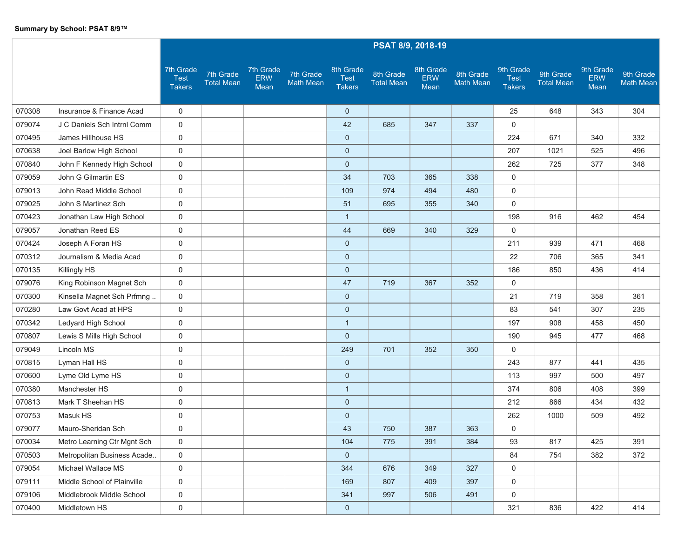|        |                             |                                                  |                                |                                 |                               |                                           |                                | PSAT 8/9, 2018-19               |                               |                                           |                                |                                 |                               |
|--------|-----------------------------|--------------------------------------------------|--------------------------------|---------------------------------|-------------------------------|-------------------------------------------|--------------------------------|---------------------------------|-------------------------------|-------------------------------------------|--------------------------------|---------------------------------|-------------------------------|
|        |                             | <b>7th Grade</b><br><b>Test</b><br><b>Takers</b> | 7th Grade<br><b>Total Mean</b> | 7th Grade<br><b>ERW</b><br>Mean | 7th Grade<br><b>Math Mean</b> | 8th Grade<br><b>Test</b><br><b>Takers</b> | 8th Grade<br><b>Total Mean</b> | 8th Grade<br><b>ERW</b><br>Mean | 8th Grade<br><b>Math Mean</b> | 9th Grade<br><b>Test</b><br><b>Takers</b> | 9th Grade<br><b>Total Mean</b> | 9th Grade<br><b>ERW</b><br>Mean | 9th Grade<br><b>Math Mean</b> |
| 070308 | Insurance & Finance Acad    | 0                                                |                                |                                 |                               | $\mathbf{0}$                              |                                |                                 |                               | 25                                        | 648                            | 343                             | 304                           |
| 079074 | J C Daniels Sch Intrnl Comm | $\mathbf 0$                                      |                                |                                 |                               | 42                                        | 685                            | 347                             | 337                           | 0                                         |                                |                                 |                               |
| 070495 | James Hillhouse HS          | $\mathbf 0$                                      |                                |                                 |                               | $\mathbf{0}$                              |                                |                                 |                               | 224                                       | 671                            | 340                             | 332                           |
| 070638 | Joel Barlow High School     | 0                                                |                                |                                 |                               | $\mathbf{0}$                              |                                |                                 |                               | 207                                       | 1021                           | 525                             | 496                           |
| 070840 | John F Kennedy High School  | 0                                                |                                |                                 |                               | $\mathbf{0}$                              |                                |                                 |                               | 262                                       | 725                            | 377                             | 348                           |
| 079059 | John G Gilmartin ES         | 0                                                |                                |                                 |                               | 34                                        | 703                            | 365                             | 338                           | 0                                         |                                |                                 |                               |
| 079013 | John Read Middle School     | 0                                                |                                |                                 |                               | 109                                       | 974                            | 494                             | 480                           | 0                                         |                                |                                 |                               |
| 079025 | John S Martinez Sch         | 0                                                |                                |                                 |                               | 51                                        | 695                            | 355                             | 340                           | 0                                         |                                |                                 |                               |
| 070423 | Jonathan Law High School    | 0                                                |                                |                                 |                               | $\mathbf{1}$                              |                                |                                 |                               | 198                                       | 916                            | 462                             | 454                           |
| 079057 | Jonathan Reed ES            | $\mathbf 0$                                      |                                |                                 |                               | 44                                        | 669                            | 340                             | 329                           | 0                                         |                                |                                 |                               |
| 070424 | Joseph A Foran HS           | 0                                                |                                |                                 |                               | $\mathbf 0$                               |                                |                                 |                               | 211                                       | 939                            | 471                             | 468                           |
| 070312 | Journalism & Media Acad     | 0                                                |                                |                                 |                               | $\mathbf{0}$                              |                                |                                 |                               | 22                                        | 706                            | 365                             | 341                           |
| 070135 | Killingly HS                | 0                                                |                                |                                 |                               | $\mathbf{0}$                              |                                |                                 |                               | 186                                       | 850                            | 436                             | 414                           |
| 079076 | King Robinson Magnet Sch    | $\mathbf 0$                                      |                                |                                 |                               | 47                                        | 719                            | 367                             | 352                           | 0                                         |                                |                                 |                               |
| 070300 | Kinsella Magnet Sch Prfmng  | $\mathbf 0$                                      |                                |                                 |                               | $\mathbf 0$                               |                                |                                 |                               | 21                                        | 719                            | 358                             | 361                           |
| 070280 | Law Govt Acad at HPS        | 0                                                |                                |                                 |                               | $\mathbf{0}$                              |                                |                                 |                               | 83                                        | 541                            | 307                             | 235                           |
| 070342 | Ledyard High School         | 0                                                |                                |                                 |                               | $\mathbf{1}$                              |                                |                                 |                               | 197                                       | 908                            | 458                             | 450                           |
| 070807 | Lewis S Mills High School   | 0                                                |                                |                                 |                               | $\mathbf{0}$                              |                                |                                 |                               | 190                                       | 945                            | 477                             | 468                           |
| 079049 | Lincoln MS                  | 0                                                |                                |                                 |                               | 249                                       | 701                            | 352                             | 350                           | 0                                         |                                |                                 |                               |
| 070815 | Lyman Hall HS               | 0                                                |                                |                                 |                               | $\mathbf{0}$                              |                                |                                 |                               | 243                                       | 877                            | 441                             | 435                           |
| 070600 | Lyme Old Lyme HS            | 0                                                |                                |                                 |                               | $\mathbf{0}$                              |                                |                                 |                               | 113                                       | 997                            | 500                             | 497                           |
| 070380 | Manchester HS               | 0                                                |                                |                                 |                               | $\mathbf{1}$                              |                                |                                 |                               | 374                                       | 806                            | 408                             | 399                           |
| 070813 | Mark T Sheehan HS           | 0                                                |                                |                                 |                               | $\mathbf 0$                               |                                |                                 |                               | 212                                       | 866                            | 434                             | 432                           |
| 070753 | Masuk HS                    | 0                                                |                                |                                 |                               | $\mathbf{0}$                              |                                |                                 |                               | 262                                       | 1000                           | 509                             | 492                           |
| 079077 | Mauro-Sheridan Sch          | 0                                                |                                |                                 |                               | 43                                        | 750                            | 387                             | 363                           | 0                                         |                                |                                 |                               |
| 070034 | Metro Learning Ctr Mgnt Sch | 0                                                |                                |                                 |                               | 104                                       | 775                            | 391                             | 384                           | 93                                        | 817                            | 425                             | 391                           |
| 070503 | Metropolitan Business Acade | $\mathbf 0$                                      |                                |                                 |                               | $\mathbf{0}$                              |                                |                                 |                               | 84                                        | 754                            | 382                             | 372                           |
| 079054 | Michael Wallace MS          | $\mathsf{O}$                                     |                                |                                 |                               | 344                                       | 676                            | 349                             | 327                           | $\mathbf 0$                               |                                |                                 |                               |
| 079111 | Middle School of Plainville | 0                                                |                                |                                 |                               | 169                                       | 807                            | 409                             | 397                           | 0                                         |                                |                                 |                               |
| 079106 | Middlebrook Middle School   | 0                                                |                                |                                 |                               | 341                                       | 997                            | 506                             | 491                           | $\mathbf 0$                               |                                |                                 |                               |
| 070400 | Middletown HS               | $\mathsf{O}\xspace$                              |                                |                                 |                               | $\mathbf 0$                               |                                |                                 |                               | 321                                       | 836                            | 422                             | 414                           |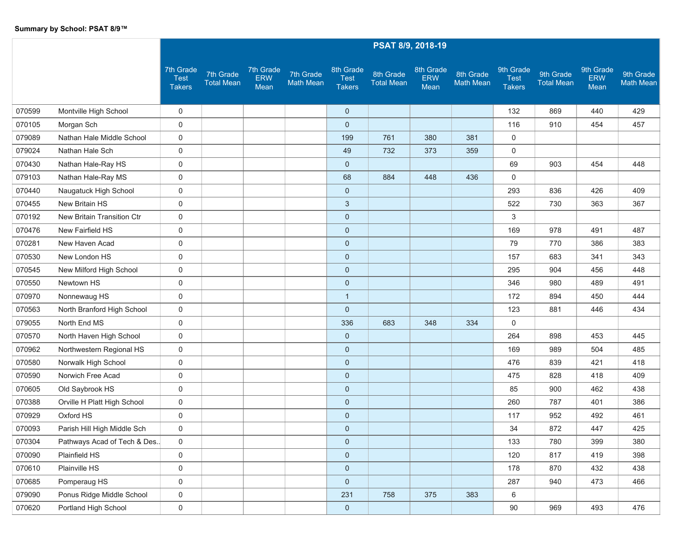|        |                             |                                           |                                |                                 |                               |                                           |                                | PSAT 8/9, 2018-19               |                               |                                           |                                |                                 |                               |
|--------|-----------------------------|-------------------------------------------|--------------------------------|---------------------------------|-------------------------------|-------------------------------------------|--------------------------------|---------------------------------|-------------------------------|-------------------------------------------|--------------------------------|---------------------------------|-------------------------------|
|        |                             | 7th Grade<br><b>Test</b><br><b>Takers</b> | 7th Grade<br><b>Total Mean</b> | 7th Grade<br><b>ERW</b><br>Mean | 7th Grade<br><b>Math Mean</b> | 8th Grade<br><b>Test</b><br><b>Takers</b> | 8th Grade<br><b>Total Mean</b> | 8th Grade<br><b>ERW</b><br>Mean | 8th Grade<br><b>Math Mean</b> | 9th Grade<br><b>Test</b><br><b>Takers</b> | 9th Grade<br><b>Total Mean</b> | 9th Grade<br><b>ERW</b><br>Mean | 9th Grade<br><b>Math Mean</b> |
| 070599 | Montville High School       | 0                                         |                                |                                 |                               | $\mathbf 0$                               |                                |                                 |                               | 132                                       | 869                            | 440                             | 429                           |
| 070105 | Morgan Sch                  | $\mathbf 0$                               |                                |                                 |                               | $\mathbf 0$                               |                                |                                 |                               | 116                                       | 910                            | 454                             | 457                           |
| 079089 | Nathan Hale Middle School   | 0                                         |                                |                                 |                               | 199                                       | 761                            | 380                             | 381                           | 0                                         |                                |                                 |                               |
| 079024 | Nathan Hale Sch             | $\mathbf 0$                               |                                |                                 |                               | 49                                        | 732                            | 373                             | 359                           | 0                                         |                                |                                 |                               |
| 070430 | Nathan Hale-Ray HS          | 0                                         |                                |                                 |                               | $\mathbf 0$                               |                                |                                 |                               | 69                                        | 903                            | 454                             | 448                           |
| 079103 | Nathan Hale-Ray MS          | $\mathbf 0$                               |                                |                                 |                               | 68                                        | 884                            | 448                             | 436                           | $\mathbf 0$                               |                                |                                 |                               |
| 070440 | Naugatuck High School       | 0                                         |                                |                                 |                               | $\mathbf 0$                               |                                |                                 |                               | 293                                       | 836                            | 426                             | 409                           |
| 070455 | New Britain HS              | 0                                         |                                |                                 |                               | $\sqrt{3}$                                |                                |                                 |                               | 522                                       | 730                            | 363                             | 367                           |
| 070192 | New Britain Transition Ctr  | 0                                         |                                |                                 |                               | $\mathbf 0$                               |                                |                                 |                               | 3                                         |                                |                                 |                               |
| 070476 | New Fairfield HS            | $\mathbf 0$                               |                                |                                 |                               | $\mathbf 0$                               |                                |                                 |                               | 169                                       | 978                            | 491                             | 487                           |
| 070281 | New Haven Acad              | $\pmb{0}$                                 |                                |                                 |                               | $\mathbf 0$                               |                                |                                 |                               | 79                                        | 770                            | 386                             | 383                           |
| 070530 | New London HS               | 0                                         |                                |                                 |                               | $\mathbf 0$                               |                                |                                 |                               | 157                                       | 683                            | 341                             | 343                           |
| 070545 | New Milford High School     | 0                                         |                                |                                 |                               | $\mathbf 0$                               |                                |                                 |                               | 295                                       | 904                            | 456                             | 448                           |
| 070550 | Newtown HS                  | 0                                         |                                |                                 |                               | $\mathbf 0$                               |                                |                                 |                               | 346                                       | 980                            | 489                             | 491                           |
| 070970 | Nonnewaug HS                | $\mathbf 0$                               |                                |                                 |                               | $\mathbf{1}$                              |                                |                                 |                               | 172                                       | 894                            | 450                             | 444                           |
| 070563 | North Branford High School  | 0                                         |                                |                                 |                               | $\mathbf 0$                               |                                |                                 |                               | 123                                       | 881                            | 446                             | 434                           |
| 079055 | North End MS                | $\mathbf 0$                               |                                |                                 |                               | 336                                       | 683                            | 348                             | 334                           | 0                                         |                                |                                 |                               |
| 070570 | North Haven High School     | $\mathbf 0$                               |                                |                                 |                               | $\mathbf 0$                               |                                |                                 |                               | 264                                       | 898                            | 453                             | 445                           |
| 070962 | Northwestern Regional HS    | 0                                         |                                |                                 |                               | $\mathbf 0$                               |                                |                                 |                               | 169                                       | 989                            | 504                             | 485                           |
| 070580 | Norwalk High School         | 0                                         |                                |                                 |                               | $\mathbf 0$                               |                                |                                 |                               | 476                                       | 839                            | 421                             | 418                           |
| 070590 | Norwich Free Acad           | 0                                         |                                |                                 |                               | $\mathbf 0$                               |                                |                                 |                               | 475                                       | 828                            | 418                             | 409                           |
| 070605 | Old Saybrook HS             | 0                                         |                                |                                 |                               | $\mathbf 0$                               |                                |                                 |                               | 85                                        | 900                            | 462                             | 438                           |
| 070388 | Orville H Platt High School | 0                                         |                                |                                 |                               | $\mathbf 0$                               |                                |                                 |                               | 260                                       | 787                            | 401                             | 386                           |
| 070929 | Oxford HS                   | 0                                         |                                |                                 |                               | $\mathbf 0$                               |                                |                                 |                               | 117                                       | 952                            | 492                             | 461                           |
| 070093 | Parish Hill High Middle Sch | 0                                         |                                |                                 |                               | $\mathbf 0$                               |                                |                                 |                               | 34                                        | 872                            | 447                             | 425                           |
| 070304 | Pathways Acad of Tech & Des | $\mathbf 0$                               |                                |                                 |                               | $\mathbf 0$                               |                                |                                 |                               | 133                                       | 780                            | 399                             | 380                           |
| 070090 | Plainfield HS               | 0                                         |                                |                                 |                               | $\pmb{0}$                                 |                                |                                 |                               | 120                                       | 817                            | 419                             | 398                           |
| 070610 | Plainville HS               | $\mathbf 0$                               |                                |                                 |                               | $\pmb{0}$                                 |                                |                                 |                               | 178                                       | 870                            | 432                             | 438                           |
| 070685 | Pomperaug HS                | 0                                         |                                |                                 |                               | $\pmb{0}$                                 |                                |                                 |                               | 287                                       | 940                            | 473                             | 466                           |
| 079090 | Ponus Ridge Middle School   | $\mathbf 0$                               |                                |                                 |                               | 231                                       | 758                            | 375                             | 383                           | 6                                         |                                |                                 |                               |
| 070620 | Portland High School        | $\mathbf 0$                               |                                |                                 |                               | $\mathbf 0$                               |                                |                                 |                               | 90                                        | 969                            | 493                             | 476                           |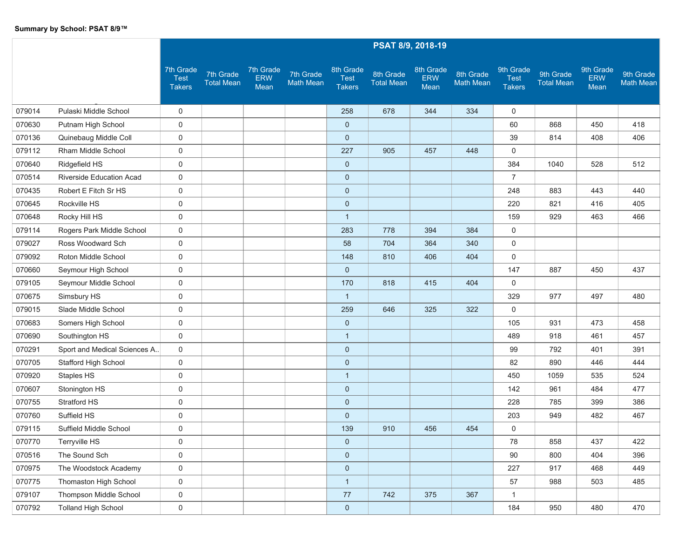|        |                                 | PSAT 8/9, 2018-19                         |                                |                                 |                               |                                           |                                |                                 |                               |                                           |                                |                                 |                               |
|--------|---------------------------------|-------------------------------------------|--------------------------------|---------------------------------|-------------------------------|-------------------------------------------|--------------------------------|---------------------------------|-------------------------------|-------------------------------------------|--------------------------------|---------------------------------|-------------------------------|
|        |                                 | 7th Grade<br><b>Test</b><br><b>Takers</b> | 7th Grade<br><b>Total Mean</b> | 7th Grade<br><b>ERW</b><br>Mean | 7th Grade<br><b>Math Mean</b> | 8th Grade<br><b>Test</b><br><b>Takers</b> | 8th Grade<br><b>Total Mean</b> | 8th Grade<br><b>ERW</b><br>Mean | 8th Grade<br><b>Math Mean</b> | 9th Grade<br><b>Test</b><br><b>Takers</b> | 9th Grade<br><b>Total Mean</b> | 9th Grade<br><b>ERW</b><br>Mean | 9th Grade<br><b>Math Mean</b> |
| 079014 | Pulaski Middle School           | 0                                         |                                |                                 |                               | 258                                       | 678                            | 344                             | 334                           | 0                                         |                                |                                 |                               |
| 070630 | Putnam High School              | $\mathbf 0$                               |                                |                                 |                               | $\mathbf 0$                               |                                |                                 |                               | 60                                        | 868                            | 450                             | 418                           |
| 070136 | Quinebaug Middle Coll           | 0                                         |                                |                                 |                               | $\mathbf 0$                               |                                |                                 |                               | 39                                        | 814                            | 408                             | 406                           |
| 079112 | Rham Middle School              | $\mathbf 0$                               |                                |                                 |                               | 227                                       | 905                            | 457                             | 448                           | 0                                         |                                |                                 |                               |
| 070640 | Ridgefield HS                   | 0                                         |                                |                                 |                               | $\mathbf 0$                               |                                |                                 |                               | 384                                       | 1040                           | 528                             | 512                           |
| 070514 | <b>Riverside Education Acad</b> | $\mathbf 0$                               |                                |                                 |                               | $\mathbf 0$                               |                                |                                 |                               | $\overline{7}$                            |                                |                                 |                               |
| 070435 | Robert E Fitch Sr HS            | $\pmb{0}$                                 |                                |                                 |                               | $\mathbf 0$                               |                                |                                 |                               | 248                                       | 883                            | 443                             | 440                           |
| 070645 | Rockville HS                    | $\mathbf 0$                               |                                |                                 |                               | $\mathbf 0$                               |                                |                                 |                               | 220                                       | 821                            | 416                             | 405                           |
| 070648 | Rocky Hill HS                   | 0                                         |                                |                                 |                               | $\mathbf{1}$                              |                                |                                 |                               | 159                                       | 929                            | 463                             | 466                           |
| 079114 | Rogers Park Middle School       | 0                                         |                                |                                 |                               | 283                                       | 778                            | 394                             | 384                           | $\mathbf 0$                               |                                |                                 |                               |
| 079027 | Ross Woodward Sch               | $\pmb{0}$                                 |                                |                                 |                               | 58                                        | 704                            | 364                             | 340                           | 0                                         |                                |                                 |                               |
| 079092 | Roton Middle School             | 0                                         |                                |                                 |                               | 148                                       | 810                            | 406                             | 404                           | $\mathbf 0$                               |                                |                                 |                               |
| 070660 | Seymour High School             | 0                                         |                                |                                 |                               | $\mathbf 0$                               |                                |                                 |                               | 147                                       | 887                            | 450                             | 437                           |
| 079105 | Seymour Middle School           | 0                                         |                                |                                 |                               | 170                                       | 818                            | 415                             | 404                           | $\mathbf 0$                               |                                |                                 |                               |
| 070675 | Simsbury HS                     | $\pmb{0}$                                 |                                |                                 |                               | $\mathbf{1}$                              |                                |                                 |                               | 329                                       | 977                            | 497                             | 480                           |
| 079015 | Slade Middle School             | 0                                         |                                |                                 |                               | 259                                       | 646                            | 325                             | 322                           | 0                                         |                                |                                 |                               |
| 070683 | Somers High School              | 0                                         |                                |                                 |                               | $\mathbf 0$                               |                                |                                 |                               | 105                                       | 931                            | 473                             | 458                           |
| 070690 | Southington HS                  | 0                                         |                                |                                 |                               | $\mathbf{1}$                              |                                |                                 |                               | 489                                       | 918                            | 461                             | 457                           |
| 070291 | Sport and Medical Sciences A    | $\mathbf 0$                               |                                |                                 |                               | $\pmb{0}$                                 |                                |                                 |                               | 99                                        | 792                            | 401                             | 391                           |
| 070705 | Stafford High School            | 0                                         |                                |                                 |                               | $\mathbf 0$                               |                                |                                 |                               | 82                                        | 890                            | 446                             | 444                           |
| 070920 | Staples HS                      | 0                                         |                                |                                 |                               | $\mathbf{1}$                              |                                |                                 |                               | 450                                       | 1059                           | 535                             | 524                           |
| 070607 | Stonington HS                   | $\mathbf 0$                               |                                |                                 |                               | $\pmb{0}$                                 |                                |                                 |                               | 142                                       | 961                            | 484                             | 477                           |
| 070755 | Stratford HS                    | 0                                         |                                |                                 |                               | $\pmb{0}$                                 |                                |                                 |                               | 228                                       | 785                            | 399                             | 386                           |
| 070760 | Suffield HS                     | 0                                         |                                |                                 |                               | $\mathbf 0$                               |                                |                                 |                               | 203                                       | 949                            | 482                             | 467                           |
| 079115 | Suffield Middle School          | 0                                         |                                |                                 |                               | 139                                       | 910                            | 456                             | 454                           | 0                                         |                                |                                 |                               |
| 070770 | Terryville HS                   | 0                                         |                                |                                 |                               | $\mathbf 0$                               |                                |                                 |                               | 78                                        | 858                            | 437                             | 422                           |
| 070516 | The Sound Sch                   | $\mathbf 0$                               |                                |                                 |                               | $\mathbf 0$                               |                                |                                 |                               | 90                                        | 800                            | 404                             | 396                           |
| 070975 | The Woodstock Academy           | $\mathbf 0$                               |                                |                                 |                               | $\pmb{0}$                                 |                                |                                 |                               | 227                                       | 917                            | 468                             | 449                           |
| 070775 | Thomaston High School           | 0                                         |                                |                                 |                               | $\mathbf{1}$                              |                                |                                 |                               | 57                                        | 988                            | 503                             | 485                           |
| 079107 | Thompson Middle School          | 0                                         |                                |                                 |                               | 77                                        | 742                            | 375                             | 367                           | $\mathbf{1}$                              |                                |                                 |                               |
| 070792 | <b>Tolland High School</b>      | $\mathbf 0$                               |                                |                                 |                               | $\mathbf{0}$                              |                                |                                 |                               | 184                                       | 950                            | 480                             | 470                           |